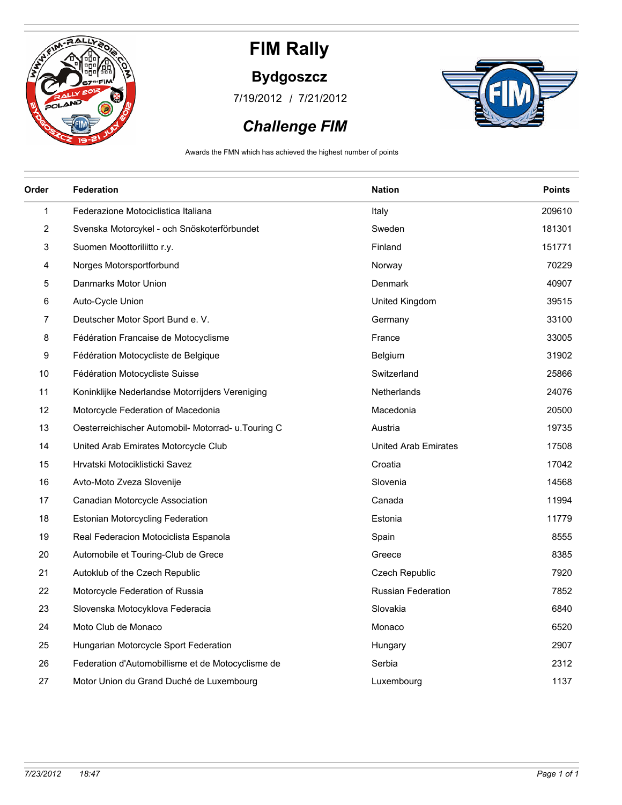

#### **Bydgoszcz**

/ 7/19/2012 7/21/2012



### *Challenge FIM*

Awards the FMN which has achieved the highest number of points

| Order | Federation                                         | <b>Nation</b>               | <b>Points</b> |
|-------|----------------------------------------------------|-----------------------------|---------------|
| 1     | Federazione Motociclistica Italiana                | Italy                       | 209610        |
| 2     | Svenska Motorcykel - och Snöskoterförbundet        | Sweden                      | 181301        |
| 3     | Suomen Moottoriliitto r.y.                         | Finland                     | 151771        |
| 4     | Norges Motorsportforbund                           | Norway                      | 70229         |
| 5     | Danmarks Motor Union                               | Denmark                     | 40907         |
| 6     | Auto-Cycle Union                                   | United Kingdom              | 39515         |
| 7     | Deutscher Motor Sport Bund e. V.                   | Germany                     | 33100         |
| 8     | Fédération Francaise de Motocyclisme               | France                      | 33005         |
| 9     | Fédération Motocycliste de Belgique                | <b>Belgium</b>              | 31902         |
| 10    | Fédération Motocycliste Suisse                     | Switzerland                 | 25866         |
| 11    | Koninklijke Nederlandse Motorrijders Vereniging    | Netherlands                 | 24076         |
| 12    | Motorcycle Federation of Macedonia                 | Macedonia                   | 20500         |
| 13    | Oesterreichischer Automobil- Motorrad- u.Touring C | Austria                     | 19735         |
| 14    | United Arab Emirates Motorcycle Club               | <b>United Arab Emirates</b> | 17508         |
| 15    | Hrvatski Motociklisticki Savez                     | Croatia                     | 17042         |
| 16    | Avto-Moto Zveza Slovenije                          | Slovenia                    | 14568         |
| 17    | Canadian Motorcycle Association                    | Canada                      | 11994         |
| 18    | <b>Estonian Motorcycling Federation</b>            | Estonia                     | 11779         |
| 19    | Real Federacion Motociclista Espanola              | Spain                       | 8555          |
| 20    | Automobile et Touring-Club de Grece                | Greece                      | 8385          |
| 21    | Autoklub of the Czech Republic                     | Czech Republic              | 7920          |
| 22    | Motorcycle Federation of Russia                    | <b>Russian Federation</b>   | 7852          |
| 23    | Slovenska Motocyklova Federacia                    | Slovakia                    | 6840          |
| 24    | Moto Club de Monaco                                | Monaco                      | 6520          |
| 25    | Hungarian Motorcycle Sport Federation              | Hungary                     | 2907          |
| 26    | Federation d'Automobillisme et de Motocyclisme de  | Serbia                      | 2312          |
| 27    | Motor Union du Grand Duché de Luxembourg           | Luxembourg                  | 1137          |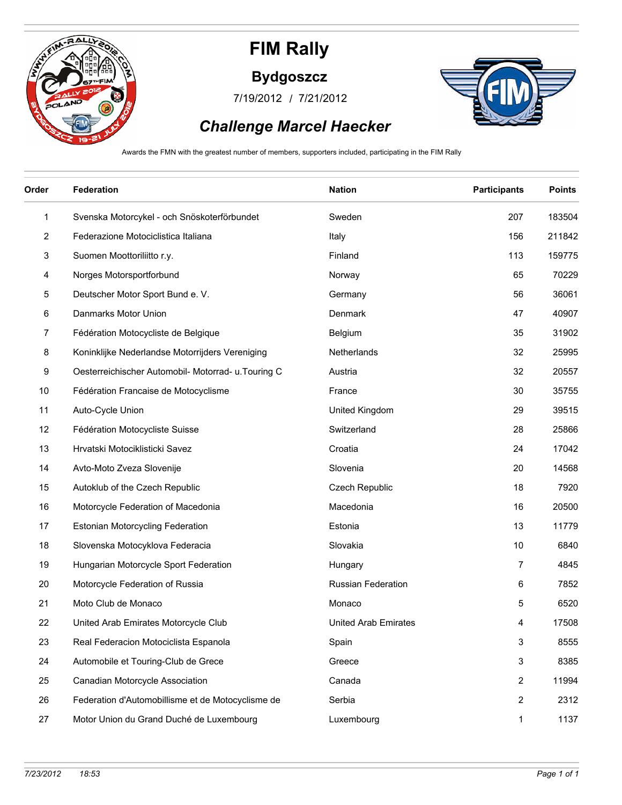

#### **Bydgoszcz**

/ 7/19/2012 7/21/2012



### *Challenge Marcel Haecker*

Awards the FMN with the greatest number of members, supporters included, participating in the FIM Rally

| Order          | <b>Federation</b>                                   | <b>Nation</b>               | <b>Participants</b> | <b>Points</b> |
|----------------|-----------------------------------------------------|-----------------------------|---------------------|---------------|
| 1              | Svenska Motorcykel - och Snöskoterförbundet         | Sweden                      | 207                 | 183504        |
| $\overline{2}$ | Federazione Motociclistica Italiana                 | Italy                       | 156                 | 211842        |
| 3              | Suomen Moottoriliitto r.y.                          | Finland                     | 113                 | 159775        |
| 4              | Norges Motorsportforbund                            | Norway                      | 65                  | 70229         |
| 5              | Deutscher Motor Sport Bund e. V.                    | Germany                     | 56                  | 36061         |
| 6              | Danmarks Motor Union                                | Denmark                     | 47                  | 40907         |
| 7              | Fédération Motocycliste de Belgique                 | Belgium                     | 35                  | 31902         |
| 8              | Koninklijke Nederlandse Motorrijders Vereniging     | Netherlands                 | 32                  | 25995         |
| 9              | Oesterreichischer Automobil- Motorrad- u. Touring C | Austria                     | 32                  | 20557         |
| 10             | Fédération Francaise de Motocyclisme                | France                      | 30                  | 35755         |
| 11             | Auto-Cycle Union                                    | United Kingdom              | 29                  | 39515         |
| 12             | Fédération Motocycliste Suisse                      | Switzerland                 | 28                  | 25866         |
| 13             | Hrvatski Motociklisticki Savez                      | Croatia                     | 24                  | 17042         |
| 14             | Avto-Moto Zveza Slovenije                           | Slovenia                    | 20                  | 14568         |
| 15             | Autoklub of the Czech Republic                      | Czech Republic              | 18                  | 7920          |
| 16             | Motorcycle Federation of Macedonia                  | Macedonia                   | 16                  | 20500         |
| 17             | <b>Estonian Motorcycling Federation</b>             | Estonia                     | 13                  | 11779         |
| 18             | Slovenska Motocyklova Federacia                     | Slovakia                    | 10                  | 6840          |
| 19             | Hungarian Motorcycle Sport Federation               | Hungary                     | 7                   | 4845          |
| 20             | Motorcycle Federation of Russia                     | <b>Russian Federation</b>   | 6                   | 7852          |
| 21             | Moto Club de Monaco                                 | Monaco                      | 5                   | 6520          |
| 22             | United Arab Emirates Motorcycle Club                | <b>United Arab Emirates</b> | 4                   | 17508         |
| 23             | Real Federacion Motociclista Espanola               | Spain                       | 3                   | 8555          |
| 24             | Automobile et Touring-Club de Grece                 | Greece                      | 3                   | 8385          |
| 25             | Canadian Motorcycle Association                     | Canada                      | $\overline{2}$      | 11994         |
| 26             | Federation d'Automobillisme et de Motocyclisme de   | Serbia                      | $\overline{2}$      | 2312          |
| 27             | Motor Union du Grand Duché de Luxembourg            | Luxembourg                  | 1                   | 1137          |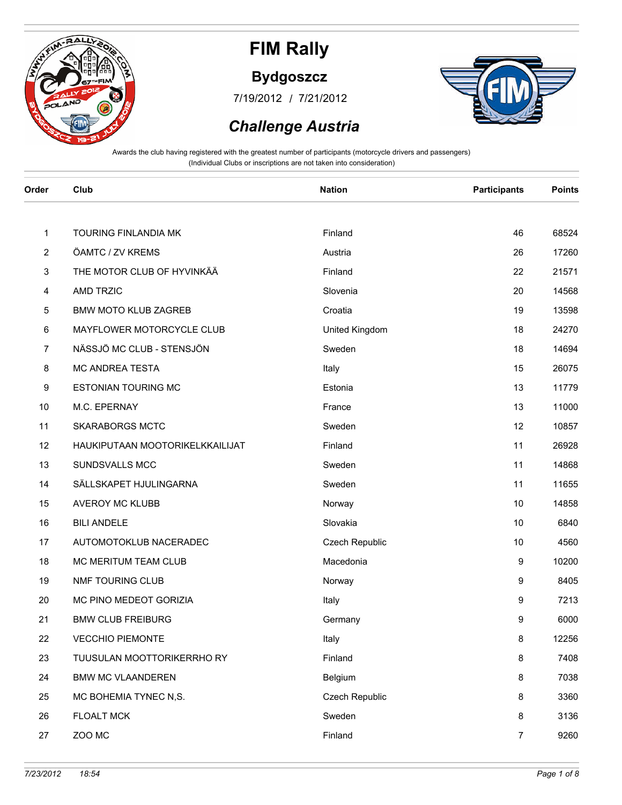

### **Bydgoszcz**

/ 7/19/2012 7/21/2012



### *Challenge Austria*

| Order | Club                            | <b>Nation</b>  | <b>Participants</b> | <b>Points</b> |
|-------|---------------------------------|----------------|---------------------|---------------|
|       |                                 |                |                     |               |
| 1     | <b>TOURING FINLANDIA MK</b>     | Finland        | 46                  | 68524         |
| 2     | ÖAMTC / ZV KREMS                | Austria        | 26                  | 17260         |
| 3     | THE MOTOR CLUB OF HYVINKÄÄ      | Finland        | 22                  | 21571         |
| 4     | <b>AMD TRZIC</b>                | Slovenia       | 20                  | 14568         |
| 5     | <b>BMW MOTO KLUB ZAGREB</b>     | Croatia        | 19                  | 13598         |
| 6     | MAYFLOWER MOTORCYCLE CLUB       | United Kingdom | 18                  | 24270         |
| 7     | NÄSSJÖ MC CLUB - STENSJÖN       | Sweden         | 18                  | 14694         |
| 8     | <b>MC ANDREA TESTA</b>          | Italy          | 15                  | 26075         |
| 9     | ESTONIAN TOURING MC             | Estonia        | 13                  | 11779         |
| 10    | M.C. EPERNAY                    | France         | 13                  | 11000         |
| 11    | <b>SKARABORGS MCTC</b>          | Sweden         | 12                  | 10857         |
| 12    | HAUKIPUTAAN MOOTORIKELKKAILIJAT | Finland        | 11                  | 26928         |
| 13    | <b>SUNDSVALLS MCC</b>           | Sweden         | 11                  | 14868         |
| 14    | SÄLLSKAPET HJULINGARNA          | Sweden         | 11                  | 11655         |
| 15    | AVEROY MC KLUBB                 | Norway         | 10                  | 14858         |
| 16    | <b>BILI ANDELE</b>              | Slovakia       | 10                  | 6840          |
| 17    | AUTOMOTOKLUB NACERADEC          | Czech Republic | 10                  | 4560          |
| 18    | MC MERITUM TEAM CLUB            | Macedonia      | 9                   | 10200         |
| 19    | NMF TOURING CLUB                | Norway         | 9                   | 8405          |
| 20    | MC PINO MEDEOT GORIZIA          | Italy          | 9                   | 7213          |
| 21    | <b>BMW CLUB FREIBURG</b>        | Germany        | 9                   | 6000          |
| 22    | <b>VECCHIO PIEMONTE</b>         | Italy          | 8                   | 12256         |
| 23    | TUUSULAN MOOTTORIKERRHO RY      | Finland        | 8                   | 7408          |
| 24    | <b>BMW MC VLAANDEREN</b>        | Belgium        | 8                   | 7038          |
| 25    | MC BOHEMIA TYNEC N,S.           | Czech Republic | 8                   | 3360          |
| 26    | <b>FLOALT MCK</b>               | Sweden         | 8                   | 3136          |
| 27    | ZOO MC                          | Finland        | $\overline{7}$      | 9260          |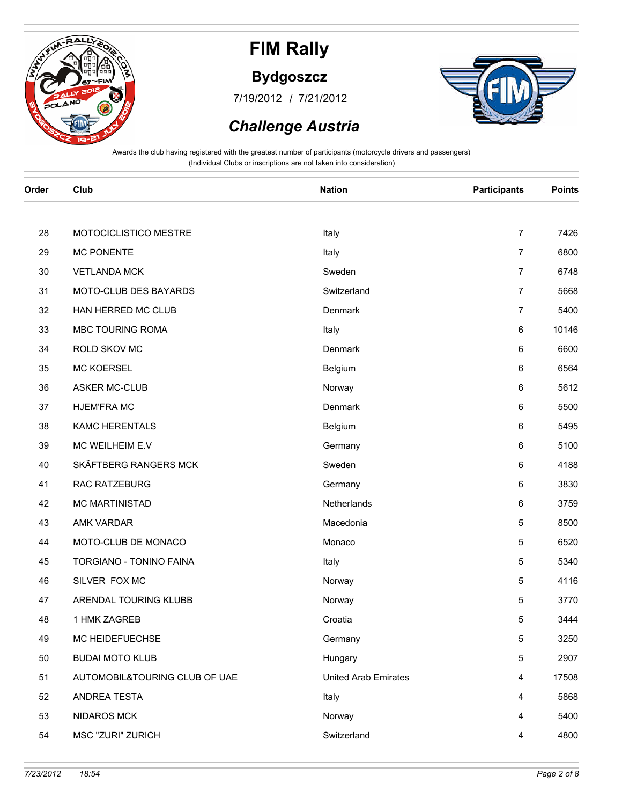

#### **Bydgoszcz**

/ 7/19/2012 7/21/2012



### *Challenge Austria*

|                               |                                                                                                                                      |                                                    | 7426                                                                      |
|-------------------------------|--------------------------------------------------------------------------------------------------------------------------------------|----------------------------------------------------|---------------------------------------------------------------------------|
|                               |                                                                                                                                      |                                                    | 6800                                                                      |
|                               |                                                                                                                                      |                                                    | 6748                                                                      |
|                               |                                                                                                                                      |                                                    | 5668                                                                      |
|                               |                                                                                                                                      |                                                    | 5400                                                                      |
|                               | Italy                                                                                                                                | 6                                                  | 10146                                                                     |
| ROLD SKOV MC                  | Denmark                                                                                                                              | 6                                                  | 6600                                                                      |
| <b>MC KOERSEL</b>             | Belgium                                                                                                                              | 6                                                  | 6564                                                                      |
| <b>ASKER MC-CLUB</b>          | Norway                                                                                                                               | 6                                                  | 5612                                                                      |
| <b>HJEM'FRA MC</b>            | Denmark                                                                                                                              | 6                                                  | 5500                                                                      |
| KAMC HERENTALS                | Belgium                                                                                                                              | 6                                                  | 5495                                                                      |
| MC WEILHEIM E.V               | Germany                                                                                                                              | 6                                                  | 5100                                                                      |
| SKÄFTBERG RANGERS MCK         | Sweden                                                                                                                               | 6                                                  | 4188                                                                      |
| RAC RATZEBURG                 | Germany                                                                                                                              | 6                                                  | 3830                                                                      |
| MC MARTINISTAD                | Netherlands                                                                                                                          | 6                                                  | 3759                                                                      |
| AMK VARDAR                    | Macedonia                                                                                                                            | 5                                                  | 8500                                                                      |
| MOTO-CLUB DE MONACO           | Monaco                                                                                                                               | 5                                                  | 6520                                                                      |
| TORGIANO - TONINO FAINA       | Italy                                                                                                                                | 5                                                  | 5340                                                                      |
| SILVER FOX MC                 | Norway                                                                                                                               | 5                                                  | 4116                                                                      |
| ARENDAL TOURING KLUBB         | Norway                                                                                                                               | 5                                                  | 3770                                                                      |
| 1 HMK ZAGREB                  | Croatia                                                                                                                              | 5                                                  | 3444                                                                      |
| MC HEIDEFUECHSE               | Germany                                                                                                                              | 5                                                  | 3250                                                                      |
| <b>BUDAI MOTO KLUB</b>        | Hungary                                                                                                                              | 5                                                  | 2907                                                                      |
| AUTOMOBIL&TOURING CLUB OF UAE | <b>United Arab Emirates</b>                                                                                                          | 4                                                  | 17508                                                                     |
| ANDREA TESTA                  | Italy                                                                                                                                | 4                                                  | 5868                                                                      |
| <b>NIDAROS MCK</b>            | Norway                                                                                                                               | 4                                                  | 5400                                                                      |
| MSC "ZURI" ZURICH             | Switzerland                                                                                                                          | 4                                                  | 4800                                                                      |
|                               | MOTOCICLISTICO MESTRE<br><b>MC PONENTE</b><br><b>VETLANDA MCK</b><br>MOTO-CLUB DES BAYARDS<br>HAN HERRED MC CLUB<br>MBC TOURING ROMA | Italy<br>Italy<br>Sweden<br>Switzerland<br>Denmark | $\overline{7}$<br>$\overline{7}$<br>$\overline{7}$<br>7<br>$\overline{7}$ |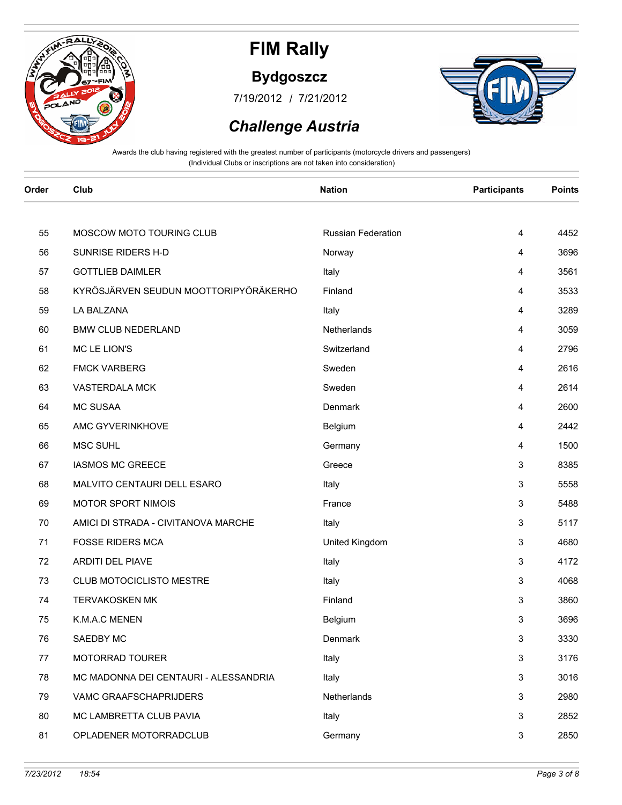

### **Bydgoszcz**

/ 7/19/2012 7/21/2012



### *Challenge Austria*

| Order | Club                                  | <b>Nation</b>      | <b>Participants</b> | <b>Points</b> |
|-------|---------------------------------------|--------------------|---------------------|---------------|
| 55    | <b>MOSCOW MOTO TOURING CLUB</b>       | Russian Federation | 4                   | 4452          |
| 56    | SUNRISE RIDERS H-D                    | Norway             | 4                   | 3696          |
| 57    | <b>GOTTLIEB DAIMLER</b>               | Italy              | 4                   | 3561          |
| 58    | KYRÖSJÄRVEN SEUDUN MOOTTORIPYÖRÄKERHO | Finland            | 4                   | 3533          |
| 59    | LA BALZANA                            | Italy              | 4                   | 3289          |
| 60    | <b>BMW CLUB NEDERLAND</b>             | Netherlands        | 4                   | 3059          |
| 61    | MC LE LION'S                          | Switzerland        | 4                   | 2796          |
| 62    | <b>FMCK VARBERG</b>                   | Sweden             | 4                   | 2616          |
| 63    | <b>VASTERDALA MCK</b>                 | Sweden             | 4                   | 2614          |
| 64    | <b>MC SUSAA</b>                       | Denmark            | 4                   | 2600          |
| 65    | AMC GYVERINKHOVE                      | Belgium            | 4                   | 2442          |
| 66    | MSC SUHL                              | Germany            | 4                   | 1500          |
| 67    | <b>IASMOS MC GREECE</b>               | Greece             | 3                   | 8385          |
| 68    | MALVITO CENTAURI DELL ESARO           | Italy              | 3                   | 5558          |
| 69    | MOTOR SPORT NIMOIS                    | France             | 3                   | 5488          |
| 70    | AMICI DI STRADA - CIVITANOVA MARCHE   | Italy              | 3                   | 5117          |
| 71    | <b>FOSSE RIDERS MCA</b>               | United Kingdom     | 3                   | 4680          |
| 72    | ARDITI DEL PIAVE                      | Italy              | 3                   | 4172          |
| 73    | CLUB MOTOCICLISTO MESTRE              | Italy              | 3                   | 4068          |
| 74    | <b>TERVAKOSKEN MK</b>                 | Finland            | 3                   | 3860          |
| 75    | K.M.A.C MENEN                         | Belgium            | 3                   | 3696          |
| 76    | SAEDBY MC                             | Denmark            | $\mathsf 3$         | 3330          |
| 77    | MOTORRAD TOURER                       | Italy              | 3                   | 3176          |
| 78    | MC MADONNA DEI CENTAURI - ALESSANDRIA | Italy              | 3                   | 3016          |
| 79    | VAMC GRAAFSCHAPRIJDERS                | Netherlands        | 3                   | 2980          |
| 80    | MC LAMBRETTA CLUB PAVIA               | Italy              | 3                   | 2852          |
| 81    | OPLADENER MOTORRADCLUB                | Germany            | 3                   | 2850          |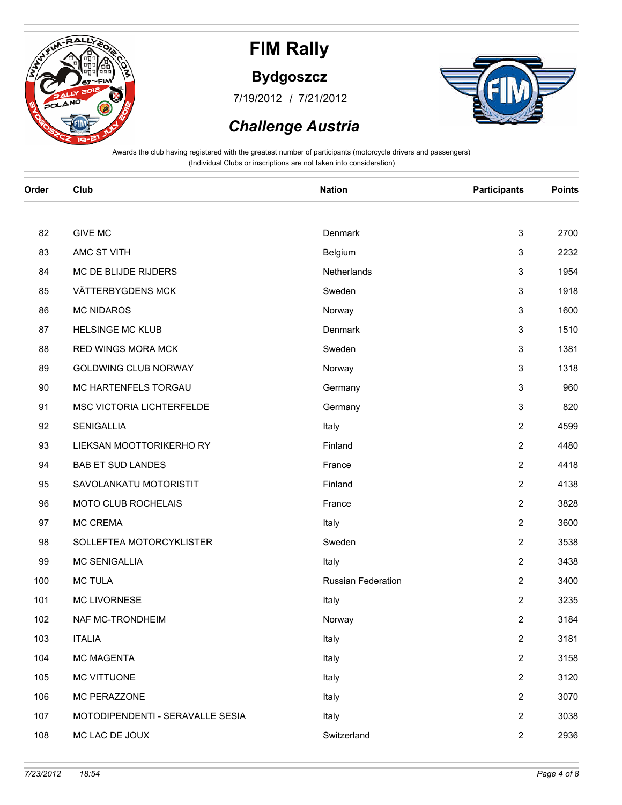

#### **Bydgoszcz**

/ 7/19/2012 7/21/2012



### *Challenge Austria*

| Order | Club                             | <b>Nation</b>             | <b>Participants</b>     | <b>Points</b> |
|-------|----------------------------------|---------------------------|-------------------------|---------------|
|       |                                  |                           |                         |               |
| 82    | <b>GIVE MC</b>                   | Denmark                   | 3                       | 2700          |
| 83    | AMC ST VITH                      | Belgium                   | 3                       | 2232          |
| 84    | MC DE BLIJDE RIJDERS             | Netherlands               | 3                       | 1954          |
| 85    | VÄTTERBYGDENS MCK                | Sweden                    | 3                       | 1918          |
| 86    | <b>MC NIDAROS</b>                | Norway                    | 3                       | 1600          |
| 87    | <b>HELSINGE MC KLUB</b>          | Denmark                   | 3                       | 1510          |
| 88    | RED WINGS MORA MCK               | Sweden                    | 3                       | 1381          |
| 89    | <b>GOLDWING CLUB NORWAY</b>      | Norway                    | 3                       | 1318          |
| 90    | MC HARTENFELS TORGAU             | Germany                   | 3                       | 960           |
| 91    | MSC VICTORIA LICHTERFELDE        | Germany                   | 3                       | 820           |
| 92    | <b>SENIGALLIA</b>                | Italy                     | $\overline{2}$          | 4599          |
| 93    | LIEKSAN MOOTTORIKERHO RY         | Finland                   | 2                       | 4480          |
| 94    | <b>BAB ET SUD LANDES</b>         | France                    | $\overline{2}$          | 4418          |
| 95    | SAVOLANKATU MOTORISTIT           | Finland                   | $\overline{c}$          | 4138          |
| 96    | MOTO CLUB ROCHELAIS              | France                    | $\overline{c}$          | 3828          |
| 97    | MC CREMA                         | Italy                     | $\overline{2}$          | 3600          |
| 98    | SOLLEFTEA MOTORCYKLISTER         | Sweden                    | $\overline{c}$          | 3538          |
| 99    | <b>MC SENIGALLIA</b>             | Italy                     | $\overline{2}$          | 3438          |
| 100   | <b>MC TULA</b>                   | <b>Russian Federation</b> | $\overline{2}$          | 3400          |
| 101   | <b>MC LIVORNESE</b>              | Italy                     | $\overline{2}$          | 3235          |
| 102   | NAF MC-TRONDHEIM                 | Norway                    | 2                       | 3184          |
| 103   | <b>ITALIA</b>                    | Italy                     | $\overline{\mathbf{c}}$ | 3181          |
| 104   | MC MAGENTA                       | Italy                     | $\overline{2}$          | 3158          |
| 105   | <b>MC VITTUONE</b>               | Italy                     | $\overline{2}$          | 3120          |
| 106   | MC PERAZZONE                     | Italy                     | $\overline{2}$          | 3070          |
| 107   | MOTODIPENDENTI - SERAVALLE SESIA | Italy                     | $\overline{2}$          | 3038          |
| 108   | MC LAC DE JOUX                   | Switzerland               | $\overline{c}$          | 2936          |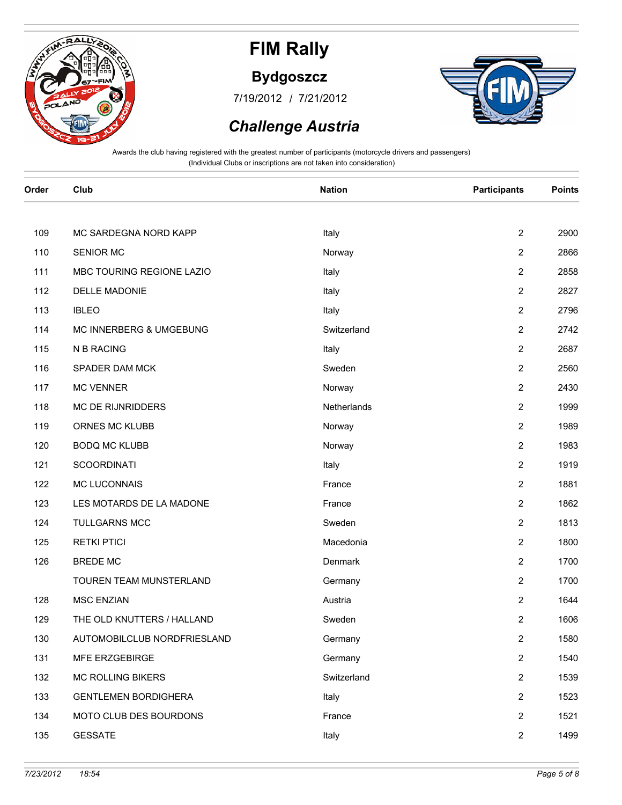

#### **Bydgoszcz**

/ 7/19/2012 7/21/2012



### *Challenge Austria*

| Order | Club                        | <b>Nation</b> | <b>Participants</b> | <b>Points</b> |
|-------|-----------------------------|---------------|---------------------|---------------|
| 109   | MC SARDEGNA NORD KAPP       | Italy         | $\overline{2}$      | 2900          |
| 110   | <b>SENIOR MC</b>            | Norway        | $\overline{2}$      | 2866          |
| 111   | MBC TOURING REGIONE LAZIO   | Italy         | $\overline{2}$      | 2858          |
| 112   | DELLE MADONIE               | Italy         | $\overline{2}$      | 2827          |
| 113   | <b>IBLEO</b>                | Italy         | $\overline{2}$      | 2796          |
| 114   | MC INNERBERG & UMGEBUNG     | Switzerland   | $\mathbf{2}$        | 2742          |
| 115   | N B RACING                  | Italy         | $\overline{2}$      | 2687          |
| 116   | SPADER DAM MCK              | Sweden        | $\overline{2}$      | 2560          |
| 117   | <b>MC VENNER</b>            | Norway        | 2                   | 2430          |
| 118   | MC DE RIJNRIDDERS           | Netherlands   | $\overline{2}$      | 1999          |
| 119   | ORNES MC KLUBB              | Norway        | $\overline{2}$      | 1989          |
| 120   | <b>BODQ MC KLUBB</b>        | Norway        | $\mathbf{2}$        | 1983          |
| 121   | <b>SCOORDINATI</b>          | Italy         | $\overline{2}$      | 1919          |
| 122   | <b>MC LUCONNAIS</b>         | France        | $\overline{2}$      | 1881          |
| 123   | LES MOTARDS DE LA MADONE    | France        | $\overline{2}$      | 1862          |
| 124   | <b>TULLGARNS MCC</b>        | Sweden        | $\overline{2}$      | 1813          |
| 125   | <b>RETKI PTICI</b>          | Macedonia     | $\overline{2}$      | 1800          |
| 126   | <b>BREDE MC</b>             | Denmark       | $\mathbf{2}$        | 1700          |
|       | TOUREN TEAM MUNSTERLAND     | Germany       | $\boldsymbol{2}$    | 1700          |
| 128   | <b>MSC ENZIAN</b>           | Austria       | $\overline{2}$      | 1644          |
| 129   | THE OLD KNUTTERS / HALLAND  | Sweden        | 2                   | 1606          |
| 130   | AUTOMOBILCLUB NORDFRIESLAND | Germany       | $\overline{2}$      | 1580          |
| 131   | MFE ERZGEBIRGE              | Germany       | $\mathbf{2}$        | 1540          |
| 132   | <b>MC ROLLING BIKERS</b>    | Switzerland   | $\mathbf{2}$        | 1539          |
| 133   | <b>GENTLEMEN BORDIGHERA</b> | Italy         | $\overline{2}$      | 1523          |
| 134   | MOTO CLUB DES BOURDONS      | France        | $\overline{2}$      | 1521          |
| 135   | <b>GESSATE</b>              | Italy         | $\overline{2}$      | 1499          |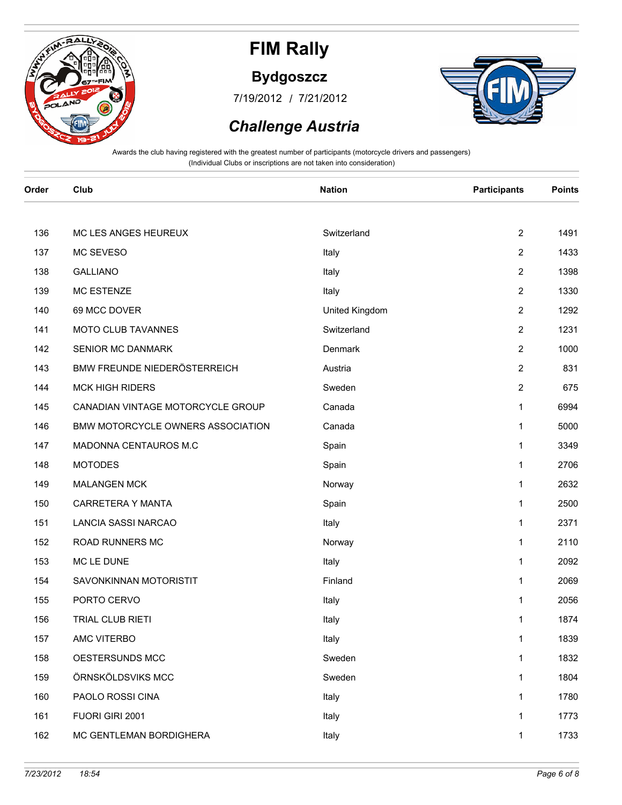

#### **Bydgoszcz**

/ 7/19/2012 7/21/2012



### *Challenge Austria*

| Order | Club                              | <b>Nation</b>  | <b>Participants</b> | <b>Points</b> |
|-------|-----------------------------------|----------------|---------------------|---------------|
| 136   | MC LES ANGES HEUREUX              | Switzerland    | $\overline{2}$      | 1491          |
| 137   | MC SEVESO                         | Italy          | $\overline{2}$      | 1433          |
| 138   | <b>GALLIANO</b>                   | Italy          | $\overline{2}$      | 1398          |
| 139   | MC ESTENZE                        | Italy          | 2                   | 1330          |
| 140   | 69 MCC DOVER                      | United Kingdom | $\overline{2}$      | 1292          |
| 141   | <b>MOTO CLUB TAVANNES</b>         | Switzerland    | $\overline{2}$      | 1231          |
| 142   | SENIOR MC DANMARK                 | Denmark        | 2                   | 1000          |
| 143   | BMW FREUNDE NIEDERÖSTERREICH      | Austria        | $\overline{2}$      | 831           |
| 144   | <b>MCK HIGH RIDERS</b>            | Sweden         | $\overline{2}$      | 675           |
| 145   | CANADIAN VINTAGE MOTORCYCLE GROUP | Canada         | 1                   | 6994          |
| 146   | BMW MOTORCYCLE OWNERS ASSOCIATION | Canada         | 1                   | 5000          |
| 147   | MADONNA CENTAUROS M.C             | Spain          | 1                   | 3349          |
| 148   | <b>MOTODES</b>                    | Spain          | 1                   | 2706          |
| 149   | <b>MALANGEN MCK</b>               | Norway         | $\mathbf{1}$        | 2632          |
| 150   | CARRETERA Y MANTA                 | Spain          | $\mathbf{1}$        | 2500          |
| 151   | LANCIA SASSI NARCAO               | Italy          | 1                   | 2371          |
| 152   | ROAD RUNNERS MC                   | Norway         | 1                   | 2110          |
| 153   | MC LE DUNE                        | Italy          | 1                   | 2092          |
| 154   | SAVONKINNAN MOTORISTIT            | Finland        | 1                   | 2069          |
| 155   | PORTO CERVO                       | Italy          | 1                   | 2056          |
| 156   | TRIAL CLUB RIETI                  | Italy          | 1                   | 1874          |
| 157   | AMC VITERBO                       | Italy          | 1                   | 1839          |
| 158   | OESTERSUNDS MCC                   | Sweden         | $\mathbf{1}$        | 1832          |
| 159   | ÖRNSKÖLDSVIKS MCC                 | Sweden         | 1                   | 1804          |
| 160   | PAOLO ROSSI CINA                  | Italy          | 1                   | 1780          |
| 161   | FUORI GIRI 2001                   | Italy          | 1                   | 1773          |
| 162   | MC GENTLEMAN BORDIGHERA           | Italy          | 1                   | 1733          |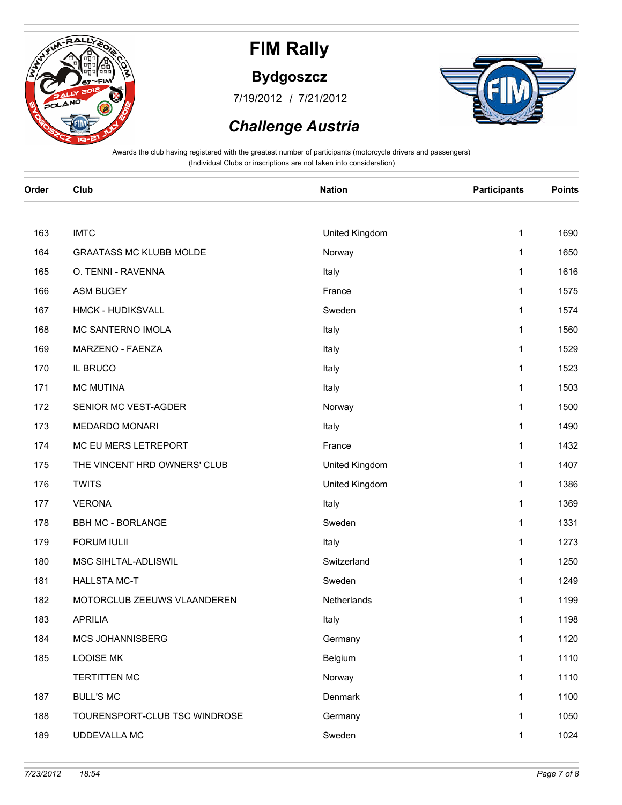

#### **Bydgoszcz**

/ 7/19/2012 7/21/2012



### *Challenge Austria*

| Order | Club                           | <b>Nation</b>  | <b>Participants</b> | <b>Points</b> |
|-------|--------------------------------|----------------|---------------------|---------------|
|       |                                |                |                     |               |
| 163   | <b>IMTC</b>                    | United Kingdom | 1                   | 1690          |
| 164   | <b>GRAATASS MC KLUBB MOLDE</b> | Norway         | $\mathbf{1}$        | 1650          |
| 165   | O. TENNI - RAVENNA             | Italy          | 1                   | 1616          |
| 166   | <b>ASM BUGEY</b>               | France         | 1                   | 1575          |
| 167   | HMCK - HUDIKSVALL              | Sweden         | 1                   | 1574          |
| 168   | MC SANTERNO IMOLA              | Italy          | 1                   | 1560          |
| 169   | MARZENO - FAENZA               | Italy          | $\mathbf{1}$        | 1529          |
| 170   | IL BRUCO                       | Italy          | 1                   | 1523          |
| 171   | <b>MC MUTINA</b>               | Italy          | 1                   | 1503          |
| 172   | SENIOR MC VEST-AGDER           | Norway         | 1                   | 1500          |
| 173   | MEDARDO MONARI                 | Italy          | 1                   | 1490          |
| 174   | MC EU MERS LETREPORT           | France         | 1                   | 1432          |
| 175   | THE VINCENT HRD OWNERS' CLUB   | United Kingdom | 1                   | 1407          |
| 176   | <b>TWITS</b>                   | United Kingdom | 1                   | 1386          |
| 177   | <b>VERONA</b>                  | Italy          | 1                   | 1369          |
| 178   | <b>BBH MC - BORLANGE</b>       | Sweden         | 1                   | 1331          |
| 179   | <b>FORUM IULII</b>             | Italy          | 1                   | 1273          |
| 180   | MSC SIHLTAL-ADLISWIL           | Switzerland    | 1                   | 1250          |
| 181   | <b>HALLSTA MC-T</b>            | Sweden         | $\mathbf{1}$        | 1249          |
| 182   | MOTORCLUB ZEEUWS VLAANDEREN    | Netherlands    | 1                   | 1199          |
| 183   | <b>APRILIA</b>                 | Italy          | 1                   | 1198          |
| 184   | MCS JOHANNISBERG               | Germany        | 1                   | 1120          |
| 185   | <b>LOOISE MK</b>               | Belgium        | 1                   | 1110          |
|       | <b>TERTITTEN MC</b>            | Norway         | $\mathbf{1}$        | 1110          |
| 187   | <b>BULL'S MC</b>               | Denmark        | $\mathbf{1}$        | 1100          |
| 188   | TOURENSPORT-CLUB TSC WINDROSE  | Germany        | 1                   | 1050          |
| 189   | <b>UDDEVALLA MC</b>            | Sweden         | 1                   | 1024          |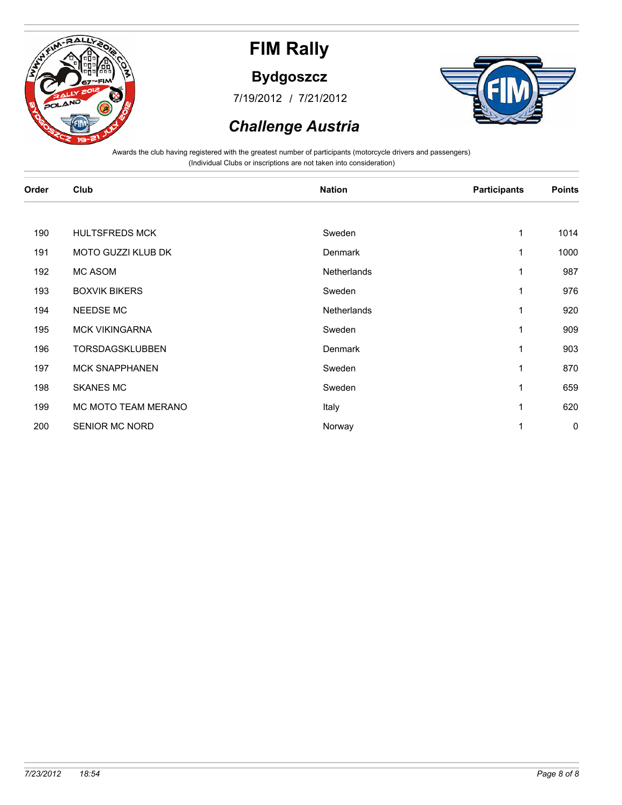

#### **Bydgoszcz**

/ 7/19/2012 7/21/2012



### *Challenge Austria*

| Order | Club                   | <b>Nation</b>      | <b>Participants</b> | <b>Points</b> |
|-------|------------------------|--------------------|---------------------|---------------|
| 190   | <b>HULTSFREDS MCK</b>  | Sweden             | 1                   | 1014          |
| 191   | MOTO GUZZI KLUB DK     | Denmark            | 1                   | 1000          |
| 192   | MC ASOM                | <b>Netherlands</b> | 1                   | 987           |
| 193   | <b>BOXVIK BIKERS</b>   | Sweden             | 1                   | 976           |
| 194   | <b>NEEDSE MC</b>       | Netherlands        | 1                   | 920           |
| 195   | <b>MCK VIKINGARNA</b>  | Sweden             | 1                   | 909           |
| 196   | <b>TORSDAGSKLUBBEN</b> | Denmark            | $\mathbf{1}$        | 903           |
| 197   | <b>MCK SNAPPHANEN</b>  | Sweden             | 1                   | 870           |
| 198   | <b>SKANES MC</b>       | Sweden             | 1                   | 659           |
| 199   | MC MOTO TEAM MERANO    | Italy              | 1                   | 620           |
| 200   | SENIOR MC NORD         | Norway             | 1                   | 0             |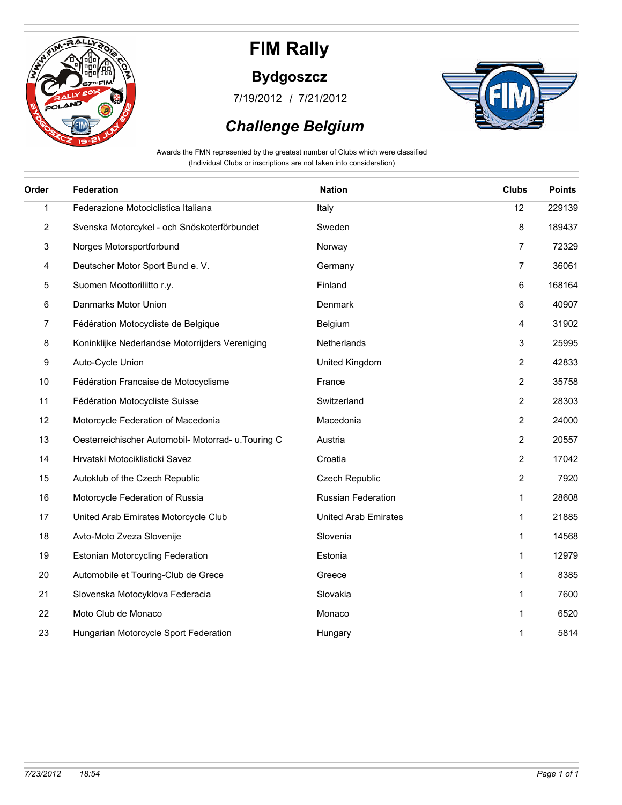

### **Bydgoszcz**

/ 7/19/2012 7/21/2012



### *Challenge Belgium*

Awards the FMN represented by the greatest number of Clubs which were classified (Individual Clubs or inscriptions are not taken into consideration)

| Order        | <b>Federation</b>                                   | <b>Nation</b>               | <b>Clubs</b>   | <b>Points</b> |
|--------------|-----------------------------------------------------|-----------------------------|----------------|---------------|
| $\mathbf{1}$ | Federazione Motociclistica Italiana                 | Italy                       | 12             | 229139        |
| 2            | Svenska Motorcykel - och Snöskoterförbundet         | Sweden                      | 8              | 189437        |
| 3            | Norges Motorsportforbund                            | Norway                      | 7              | 72329         |
| 4            | Deutscher Motor Sport Bund e. V.                    | Germany                     | 7              | 36061         |
| 5            | Suomen Moottoriliitto r.y.                          | Finland                     | 6              | 168164        |
| 6            | Danmarks Motor Union                                | Denmark                     | 6              | 40907         |
| 7            | Fédération Motocycliste de Belgique                 | Belgium                     | 4              | 31902         |
| 8            | Koninklijke Nederlandse Motorrijders Vereniging     | Netherlands                 | 3              | 25995         |
| 9            | Auto-Cycle Union                                    | United Kingdom              | $\overline{c}$ | 42833         |
| 10           | Fédération Francaise de Motocyclisme                | France                      | $\overline{c}$ | 35758         |
| 11           | Fédération Motocycliste Suisse                      | Switzerland                 | 2              | 28303         |
| 12           | Motorcycle Federation of Macedonia                  | Macedonia                   | 2              | 24000         |
| 13           | Oesterreichischer Automobil- Motorrad- u. Touring C | Austria                     | $\overline{2}$ | 20557         |
| 14           | Hrvatski Motociklisticki Savez                      | Croatia                     | 2              | 17042         |
| 15           | Autoklub of the Czech Republic                      | <b>Czech Republic</b>       | $\overline{c}$ | 7920          |
| 16           | Motorcycle Federation of Russia                     | Russian Federation          | 1              | 28608         |
| 17           | United Arab Emirates Motorcycle Club                | <b>United Arab Emirates</b> | 1              | 21885         |
| 18           | Avto-Moto Zveza Slovenije                           | Slovenia                    | 1              | 14568         |
| 19           | Estonian Motorcycling Federation                    | Estonia                     | 1              | 12979         |
| 20           | Automobile et Touring-Club de Grece                 | Greece                      | 1              | 8385          |
| 21           | Slovenska Motocyklova Federacia                     | Slovakia                    | 1              | 7600          |
| 22           | Moto Club de Monaco                                 | Monaco                      | 1              | 6520          |
| 23           | Hungarian Motorcycle Sport Federation               | Hungary                     | 1              | 5814          |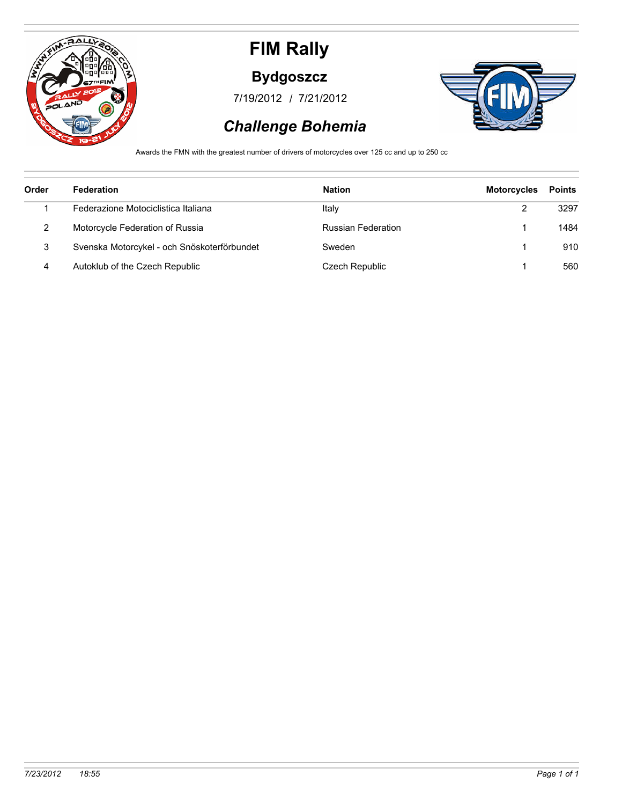

#### **Bydgoszcz**

/ 7/19/2012 7/21/2012



### *Challenge Bohemia*

Awards the FMN with the greatest number of drivers of motorcycles over 125 cc and up to 250 cc

| Order | <b>Federation</b>                           | <b>Nation</b>             | <b>Motorcycles</b> | <b>Points</b> |
|-------|---------------------------------------------|---------------------------|--------------------|---------------|
|       | Federazione Motociclistica Italiana         | Italy                     |                    | 3297          |
| 2     | Motorcycle Federation of Russia             | <b>Russian Federation</b> |                    | 1484          |
| 3     | Svenska Motorcykel - och Snöskoterförbundet | Sweden                    |                    | 910           |
| 4     | Autoklub of the Czech Republic              | Czech Republic            |                    | 560           |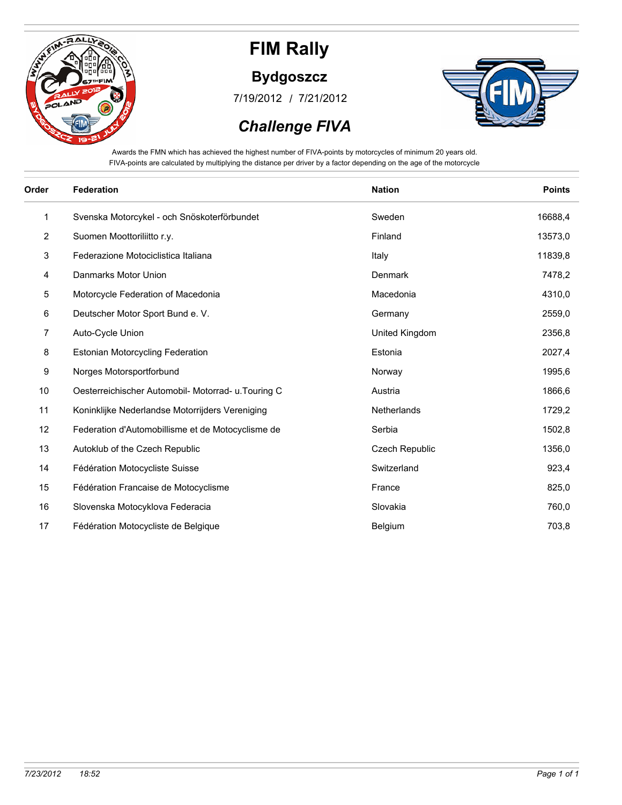

### **Bydgoszcz**

/ 7/19/2012 7/21/2012



### *Challenge FIVA*

Awards the FMN which has achieved the highest number of FIVA-points by motorcycles of minimum 20 years old. FIVA-points are calculated by multiplying the distance per driver by a factor depending on the age of the motorcycle

| Order          | <b>Federation</b>                                   | <b>Nation</b>         | <b>Points</b> |
|----------------|-----------------------------------------------------|-----------------------|---------------|
| 1              | Svenska Motorcykel - och Snöskoterförbundet         | Sweden                | 16688,4       |
| $\overline{2}$ | Suomen Moottoriliitto r.y.                          | Finland               | 13573,0       |
| 3              | Federazione Motociclistica Italiana                 | Italy                 | 11839,8       |
| 4              | Danmarks Motor Union                                | Denmark               | 7478,2        |
| 5              | Motorcycle Federation of Macedonia                  | Macedonia             | 4310,0        |
| 6              | Deutscher Motor Sport Bund e. V.                    | Germany               | 2559,0        |
| 7              | Auto-Cycle Union                                    | United Kingdom        | 2356,8        |
| 8              | <b>Estonian Motorcycling Federation</b>             | Estonia               | 2027,4        |
| 9              | Norges Motorsportforbund                            | Norway                | 1995,6        |
| 10             | Oesterreichischer Automobil- Motorrad- u. Touring C | Austria               | 1866,6        |
| 11             | Koninklijke Nederlandse Motorrijders Vereniging     | Netherlands           | 1729,2        |
| 12             | Federation d'Automobillisme et de Motocyclisme de   | Serbia                | 1502,8        |
| 13             | Autoklub of the Czech Republic                      | <b>Czech Republic</b> | 1356,0        |
| 14             | Fédération Motocycliste Suisse                      | Switzerland           | 923,4         |
| 15             | Fédération Francaise de Motocyclisme                | France                | 825,0         |
| 16             | Slovenska Motocyklova Federacia                     | Slovakia              | 760,0         |
| 17             | Fédération Motocycliste de Belgique                 | Belgium               | 703,8         |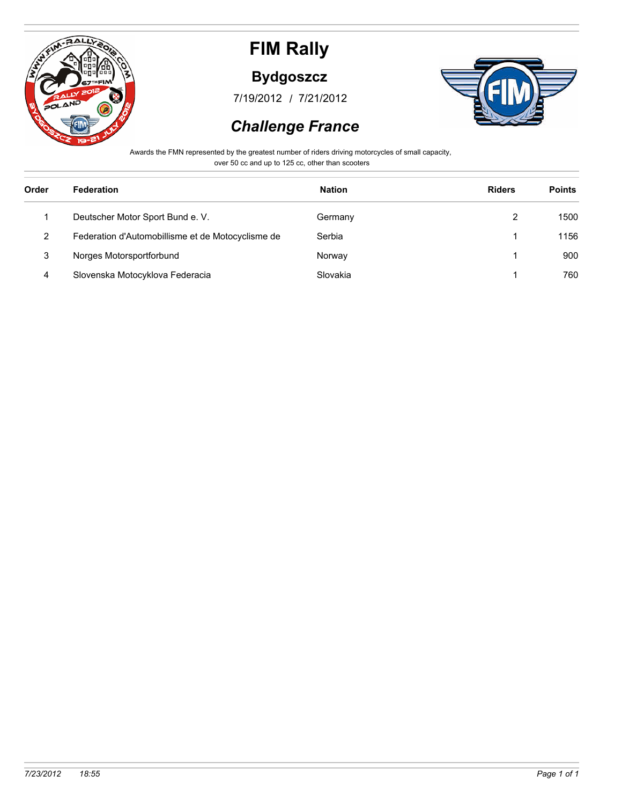

### **Bydgoszcz**

/ 7/19/2012 7/21/2012



### *Challenge France*

Awards the FMN represented by the greatest number of riders driving motorcycles of small capacity,

over 50 cc and up to 125 cc, other than scooters

| <b>Federation</b>                                 | <b>Nation</b> | <b>Riders</b> | <b>Points</b> |
|---------------------------------------------------|---------------|---------------|---------------|
| Deutscher Motor Sport Bund e. V.                  | Germany       | 2             | 1500          |
| Federation d'Automobillisme et de Motocyclisme de | Serbia        |               | 1156          |
| Norges Motorsportforbund                          | Norway        |               | 900           |
| Slovenska Motocyklova Federacia                   | Slovakia      |               | 760           |
|                                                   |               |               |               |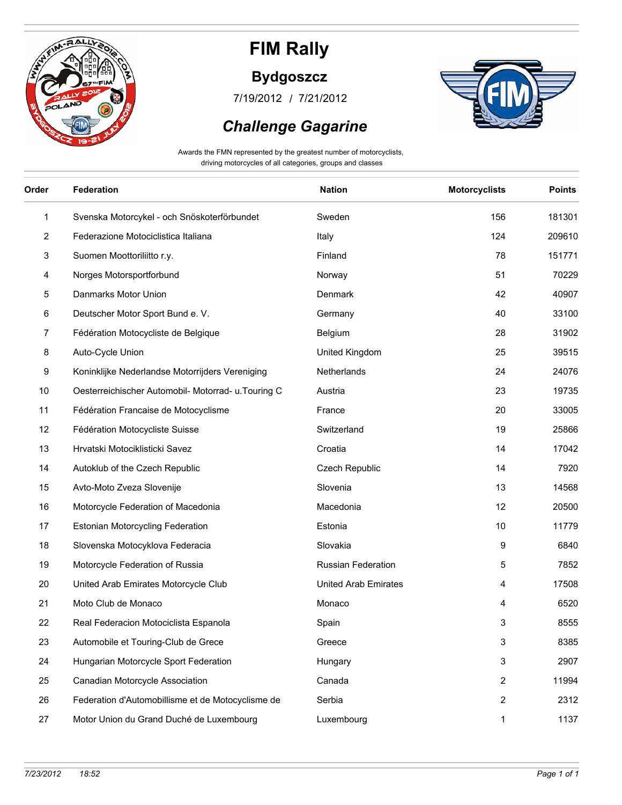

### **Bydgoszcz**

/ 7/19/2012 7/21/2012

### *Challenge Gagarine*



Awards the FMN represented by the greatest number of motorcyclists, driving motorcycles of all categories, groups and classes

| Order        | <b>Federation</b>                                   | <b>Nation</b>               | <b>Motorcyclists</b> | <b>Points</b> |
|--------------|-----------------------------------------------------|-----------------------------|----------------------|---------------|
| $\mathbf{1}$ | Svenska Motorcykel - och Snöskoterförbundet         | Sweden                      | 156                  | 181301        |
| 2            | Federazione Motociclistica Italiana                 | Italy                       | 124                  | 209610        |
| 3            | Suomen Moottoriliitto r.y.                          | Finland                     | 78                   | 151771        |
| 4            | Norges Motorsportforbund                            | Norway                      | 51                   | 70229         |
| 5            | Danmarks Motor Union                                | Denmark                     | 42                   | 40907         |
| 6            | Deutscher Motor Sport Bund e. V.                    | Germany                     | 40                   | 33100         |
| 7            | Fédération Motocycliste de Belgique                 | Belgium                     | 28                   | 31902         |
| 8            | Auto-Cycle Union                                    | United Kingdom              | 25                   | 39515         |
| 9            | Koninklijke Nederlandse Motorrijders Vereniging     | Netherlands                 | 24                   | 24076         |
| 10           | Oesterreichischer Automobil- Motorrad- u. Touring C | Austria                     | 23                   | 19735         |
| 11           | Fédération Francaise de Motocyclisme                | France                      | 20                   | 33005         |
| 12           | Fédération Motocycliste Suisse                      | Switzerland                 | 19                   | 25866         |
| 13           | Hrvatski Motociklisticki Savez                      | Croatia                     | 14                   | 17042         |
| 14           | Autoklub of the Czech Republic                      | Czech Republic              | 14                   | 7920          |
| 15           | Avto-Moto Zveza Slovenije                           | Slovenia                    | 13                   | 14568         |
| 16           | Motorcycle Federation of Macedonia                  | Macedonia                   | 12                   | 20500         |
| 17           | <b>Estonian Motorcycling Federation</b>             | Estonia                     | 10                   | 11779         |
| 18           | Slovenska Motocyklova Federacia                     | Slovakia                    | 9                    | 6840          |
| 19           | Motorcycle Federation of Russia                     | Russian Federation          | 5                    | 7852          |
| 20           | United Arab Emirates Motorcycle Club                | <b>United Arab Emirates</b> | 4                    | 17508         |
| 21           | Moto Club de Monaco                                 | Monaco                      | 4                    | 6520          |
| 22           | Real Federacion Motociclista Espanola               | Spain                       | 3                    | 8555          |
| 23           | Automobile et Touring-Club de Grece                 | Greece                      | 3                    | 8385          |
| 24           | Hungarian Motorcycle Sport Federation               | Hungary                     | 3                    | 2907          |
| 25           | Canadian Motorcycle Association                     | Canada                      | 2                    | 11994         |
| 26           | Federation d'Automobillisme et de Motocyclisme de   | Serbia                      | 2                    | 2312          |
| 27           | Motor Union du Grand Duché de Luxembourg            | Luxembourg                  | 1                    | 1137          |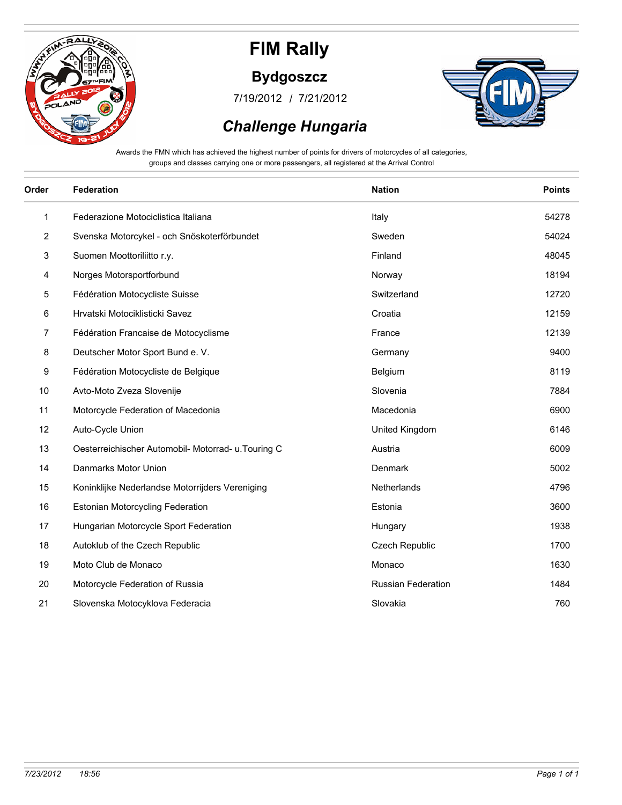

### **Bydgoszcz**

/ 7/19/2012 7/21/2012



#### *Challenge Hungaria*

Awards the FMN which has achieved the highest number of points for drivers of motorcycles of all categories, groups and classes carrying one or more passengers, all registered at the Arrival Control

| Order          | Federation                                          | <b>Nation</b>             | <b>Points</b> |
|----------------|-----------------------------------------------------|---------------------------|---------------|
| 1              | Federazione Motociclistica Italiana                 | Italy                     | 54278         |
| $\overline{2}$ | Svenska Motorcykel - och Snöskoterförbundet         | Sweden                    | 54024         |
| 3              | Suomen Moottoriliitto r.y.                          | Finland                   | 48045         |
| 4              | Norges Motorsportforbund                            | Norway                    | 18194         |
| 5              | Fédération Motocycliste Suisse                      | Switzerland               | 12720         |
| 6              | Hrvatski Motociklisticki Savez                      | Croatia                   | 12159         |
| 7              | Fédération Francaise de Motocyclisme                | France                    | 12139         |
| 8              | Deutscher Motor Sport Bund e. V.                    | Germany                   | 9400          |
| 9              | Fédération Motocycliste de Belgique                 | Belgium                   | 8119          |
| 10             | Avto-Moto Zveza Slovenije                           | Slovenia                  | 7884          |
| 11             | Motorcycle Federation of Macedonia                  | Macedonia                 | 6900          |
| 12             | Auto-Cycle Union                                    | United Kingdom            | 6146          |
| 13             | Oesterreichischer Automobil- Motorrad- u. Touring C | Austria                   | 6009          |
| 14             | Danmarks Motor Union                                | Denmark                   | 5002          |
| 15             | Koninklijke Nederlandse Motorrijders Vereniging     | Netherlands               | 4796          |
| 16             | Estonian Motorcycling Federation                    | Estonia                   | 3600          |
| 17             | Hungarian Motorcycle Sport Federation               | Hungary                   | 1938          |
| 18             | Autoklub of the Czech Republic                      | <b>Czech Republic</b>     | 1700          |
| 19             | Moto Club de Monaco                                 | Monaco                    | 1630          |
| 20             | Motorcycle Federation of Russia                     | <b>Russian Federation</b> | 1484          |
| 21             | Slovenska Motocyklova Federacia                     | Slovakia                  | 760           |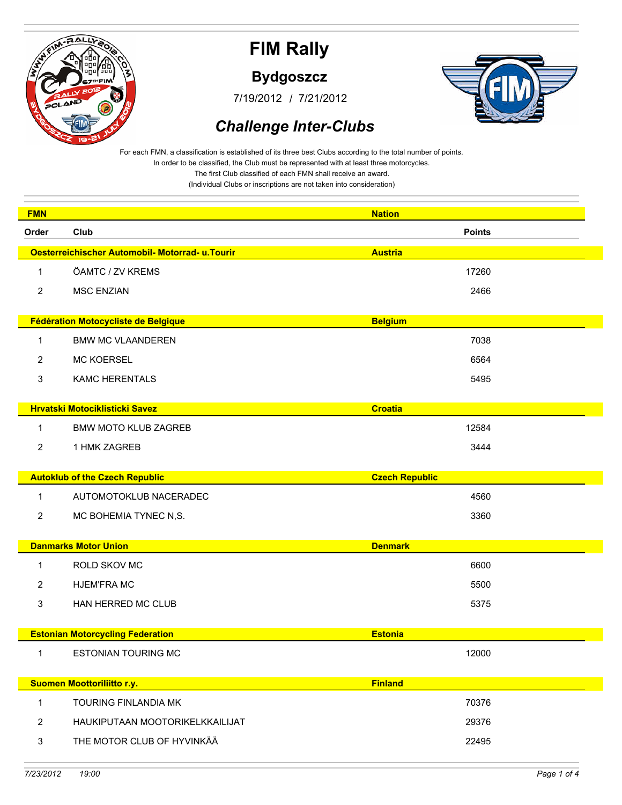

**Bydgoszcz**

/ 7/19/2012 7/21/2012



### *Challenge Inter-Clubs*

For each FMN, a classification is established of its three best Clubs according to the total number of points. In order to be classified, the Club must be represented with at least three motorcycles.

The first Club classified of each FMN shall receive an award.

| <b>FMN</b>     |                                                 | <b>Nation</b>         |  |
|----------------|-------------------------------------------------|-----------------------|--|
| Order          | Club                                            | <b>Points</b>         |  |
|                | Oesterreichischer Automobil- Motorrad- u.Tourir | <b>Austria</b>        |  |
| 1              | ÖAMTC / ZV KREMS                                | 17260                 |  |
| $\overline{c}$ | <b>MSC ENZIAN</b>                               | 2466                  |  |
|                |                                                 |                       |  |
|                | Fédération Motocycliste de Belgique             | <b>Belgium</b>        |  |
| $\mathbf{1}$   | <b>BMW MC VLAANDEREN</b>                        | 7038                  |  |
| 2              | <b>MC KOERSEL</b>                               | 6564                  |  |
| 3              | <b>KAMC HERENTALS</b>                           | 5495                  |  |
|                | <b>Hrvatski Motociklisticki Savez</b>           | <b>Croatia</b>        |  |
|                |                                                 |                       |  |
| 1              | <b>BMW MOTO KLUB ZAGREB</b>                     | 12584                 |  |
| 2              | 1 HMK ZAGREB                                    | 3444                  |  |
|                | <b>Autoklub of the Czech Republic</b>           | <b>Czech Republic</b> |  |
| 1              | AUTOMOTOKLUB NACERADEC                          | 4560                  |  |
| 2              | MC BOHEMIA TYNEC N,S.                           | 3360                  |  |
|                |                                                 |                       |  |
|                | <b>Danmarks Motor Union</b>                     | <b>Denmark</b>        |  |
| 1              | <b>ROLD SKOV MC</b>                             | 6600                  |  |
| 2              | <b>HJEM'FRA MC</b>                              | 5500                  |  |
| 3              | HAN HERRED MC CLUB                              | 5375                  |  |
|                |                                                 |                       |  |
|                | <b>Estonian Motorcycling Federation</b>         | <b>Estonia</b>        |  |
| 1              | <b>ESTONIAN TOURING MC</b>                      | 12000                 |  |
|                |                                                 |                       |  |
|                | <b>Suomen Moottoriliitto r.y.</b>               | <b>Finland</b>        |  |
| $\mathbf{1}$   | TOURING FINLANDIA MK                            | 70376                 |  |
| $\overline{2}$ | HAUKIPUTAAN MOOTORIKELKKAILIJAT                 | 29376                 |  |
| 3              | THE MOTOR CLUB OF HYVINKÄÄ                      | 22495                 |  |
|                |                                                 |                       |  |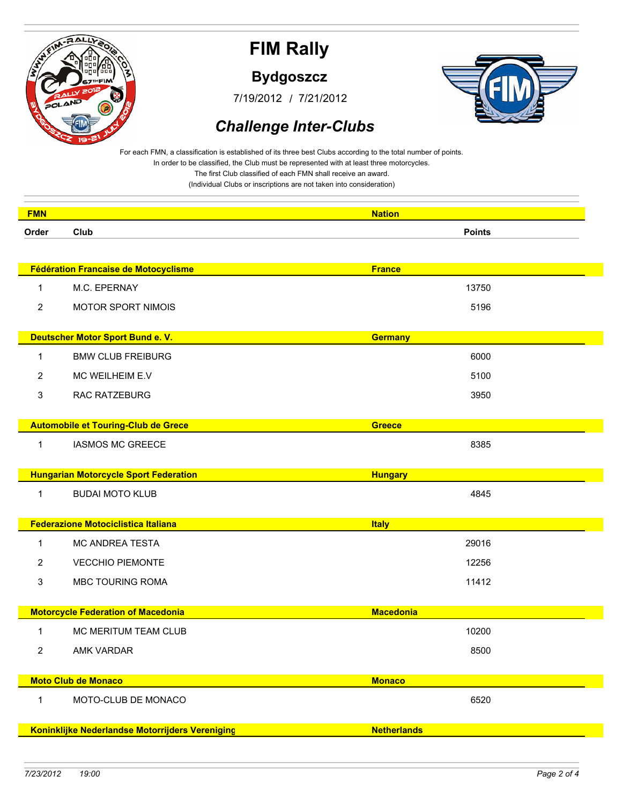

**Bydgoszcz**

/ 7/19/2012 7/21/2012



### *Challenge Inter-Clubs*

For each FMN, a classification is established of its three best Clubs according to the total number of points. In order to be classified, the Club must be represented with at least three motorcycles.

The first Club classified of each FMN shall receive an award.

| <b>FMN</b>     |                                                 | <b>Nation</b>      |  |
|----------------|-------------------------------------------------|--------------------|--|
| Order          | Club                                            | <b>Points</b>      |  |
|                |                                                 |                    |  |
|                | Fédération Francaise de Motocyclisme            | <b>France</b>      |  |
| 1              | M.C. EPERNAY                                    | 13750              |  |
| 2              | MOTOR SPORT NIMOIS                              | 5196               |  |
|                |                                                 |                    |  |
|                | Deutscher Motor Sport Bund e. V.                | <b>Germany</b>     |  |
| $\mathbf{1}$   | <b>BMW CLUB FREIBURG</b>                        | 6000               |  |
| 2              | MC WEILHEIM E.V                                 | 5100               |  |
| 3              | RAC RATZEBURG                                   | 3950               |  |
|                |                                                 |                    |  |
|                | <b>Automobile et Touring-Club de Grece</b>      | <b>Greece</b>      |  |
| 1              | <b>IASMOS MC GREECE</b>                         | 8385               |  |
|                | <b>Hungarian Motorcycle Sport Federation</b>    | <b>Hungary</b>     |  |
| $\mathbf{1}$   | <b>BUDAI MOTO KLUB</b>                          | 4845               |  |
|                |                                                 |                    |  |
|                | <b>Federazione Motociclistica Italiana</b>      | <b>Italy</b>       |  |
| $\mathbf{1}$   | MC ANDREA TESTA                                 | 29016              |  |
| $\overline{2}$ | <b>VECCHIO PIEMONTE</b>                         | 12256              |  |
| 3              | MBC TOURING ROMA                                | 11412              |  |
|                |                                                 |                    |  |
|                | <b>Motorcycle Federation of Macedonia</b>       | <b>Macedonia</b>   |  |
| 1              | MC MERITUM TEAM CLUB                            | 10200              |  |
| 2              | <b>AMK VARDAR</b>                               | 8500               |  |
|                |                                                 |                    |  |
|                | <b>Moto Club de Monaco</b>                      | <b>Monaco</b>      |  |
| $\mathbf 1$    | MOTO-CLUB DE MONACO                             | 6520               |  |
|                |                                                 |                    |  |
|                | Koninklijke Nederlandse Motorrijders Vereniging | <b>Netherlands</b> |  |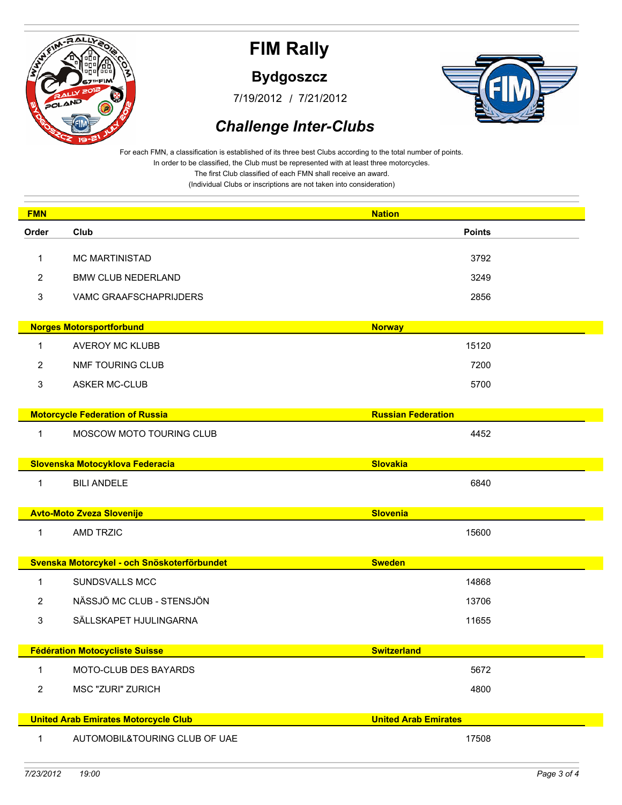

**Bydgoszcz**

/ 7/19/2012 7/21/2012



### *Challenge Inter-Clubs*

For each FMN, a classification is established of its three best Clubs according to the total number of points. In order to be classified, the Club must be represented with at least three motorcycles. The first Club classified of each FMN shall receive an award.

| <b>FMN</b>     |                                             | <b>Nation</b>               |
|----------------|---------------------------------------------|-----------------------------|
| Order          | Club                                        | <b>Points</b>               |
|                |                                             |                             |
| 1              | <b>MC MARTINISTAD</b>                       | 3792                        |
| 2              | <b>BMW CLUB NEDERLAND</b>                   | 3249                        |
| 3              | VAMC GRAAFSCHAPRIJDERS                      | 2856                        |
|                |                                             |                             |
|                | <b>Norges Motorsportforbund</b>             | <b>Norway</b>               |
| $\mathbf{1}$   | <b>AVEROY MC KLUBB</b>                      | 15120                       |
| 2              | NMF TOURING CLUB                            | 7200                        |
| 3              | <b>ASKER MC-CLUB</b>                        | 5700                        |
|                |                                             |                             |
|                | <b>Motorcycle Federation of Russia</b>      | <b>Russian Federation</b>   |
| 1              | MOSCOW MOTO TOURING CLUB                    | 4452                        |
|                | Slovenska Motocyklova Federacia             | <b>Slovakia</b>             |
| 1              | <b>BILI ANDELE</b>                          | 6840                        |
|                |                                             |                             |
|                | <b>Avto-Moto Zveza Slovenije</b>            | <b>Slovenia</b>             |
| 1              | <b>AMD TRZIC</b>                            | 15600                       |
|                |                                             |                             |
|                | Svenska Motorcykel - och Snöskoterförbundet | <b>Sweden</b>               |
| 1              | <b>SUNDSVALLS MCC</b>                       | 14868                       |
| $\overline{2}$ | NÄSSJÖ MC CLUB - STENSJÖN                   | 13706                       |
| 3              | SÄLLSKAPET HJULINGARNA                      | 11655                       |
|                |                                             |                             |
|                | <b>Fédération Motocycliste Suisse</b>       | <b>Switzerland</b>          |
| 1              | MOTO-CLUB DES BAYARDS                       | 5672                        |
| $\overline{2}$ | <b>MSC "ZURI" ZURICH</b>                    | 4800                        |
|                | <b>United Arab Emirates Motorcycle Club</b> | <b>United Arab Emirates</b> |
|                |                                             |                             |
| 1              | AUTOMOBIL&TOURING CLUB OF UAE               | 17508                       |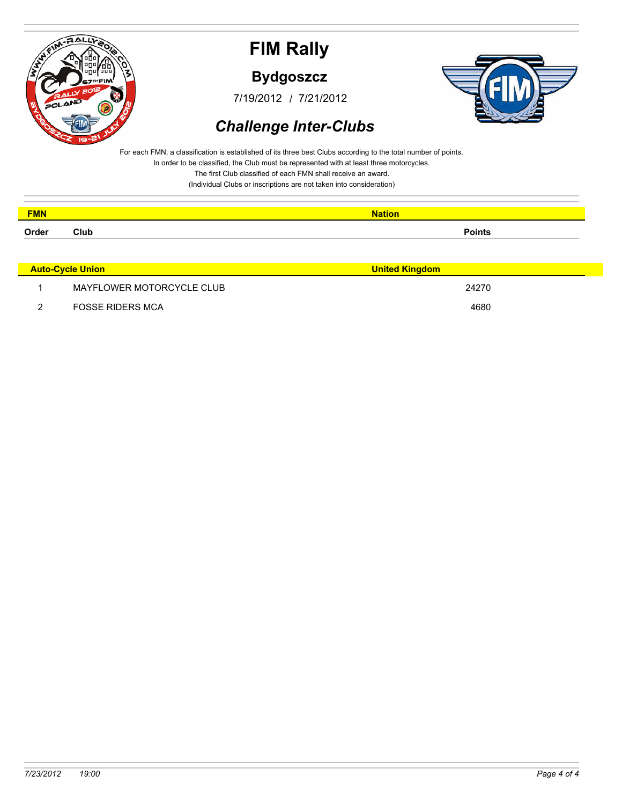

**Bydgoszcz**

/ 7/19/2012 7/21/2012



### *Challenge Inter-Clubs*

For each FMN, a classification is established of its three best Clubs according to the total number of points. In order to be classified, the Club must be represented with at least three motorcycles.

The first Club classified of each FMN shall receive an award.

| <b>FMN</b> |      | <b>Nation</b> |
|------------|------|---------------|
| Order      | Club | Points        |

| <b>Auto-Cycle Union</b>   | <b>United Kingdom</b> |
|---------------------------|-----------------------|
| MAYFLOWER MOTORCYCLE CLUB | 24270                 |
| <b>FOSSE RIDERS MCA</b>   | 4680                  |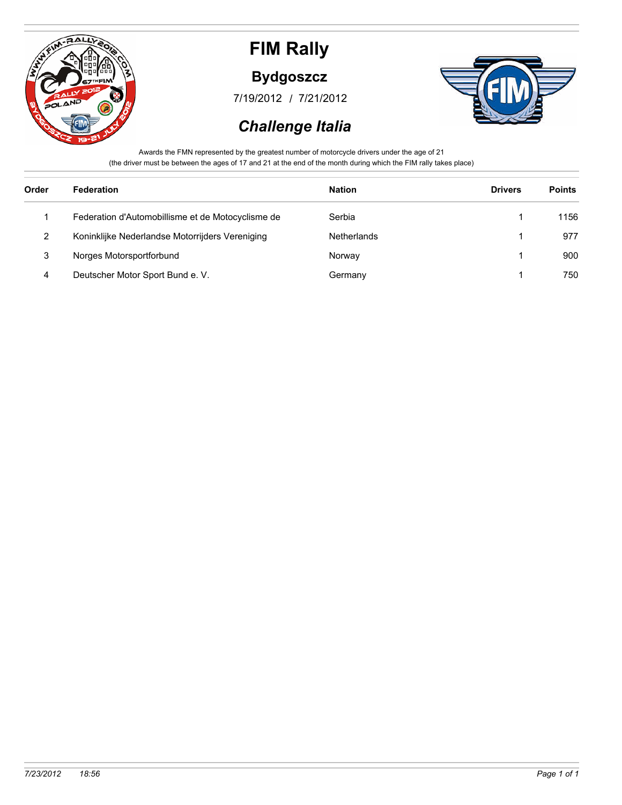

### **Bydgoszcz**

/ 7/19/2012 7/21/2012



#### *Challenge Italia*

Awards the FMN represented by the greatest number of motorcycle drivers under the age of 21 (the driver must be between the ages of 17 and 21 at the end of the month during which the FIM rally takes place)

| <b>Federation</b>                                 | <b>Nation</b>      | <b>Drivers</b> | <b>Points</b> |
|---------------------------------------------------|--------------------|----------------|---------------|
| Federation d'Automobillisme et de Motocyclisme de | Serbia             |                | 1156          |
| Koninklijke Nederlandse Motorrijders Vereniging   | <b>Netherlands</b> |                | 977           |
| Norges Motorsportforbund                          | Norway             |                | 900           |
| Deutscher Motor Sport Bund e. V.                  | Germany            |                | 750           |
|                                                   |                    |                |               |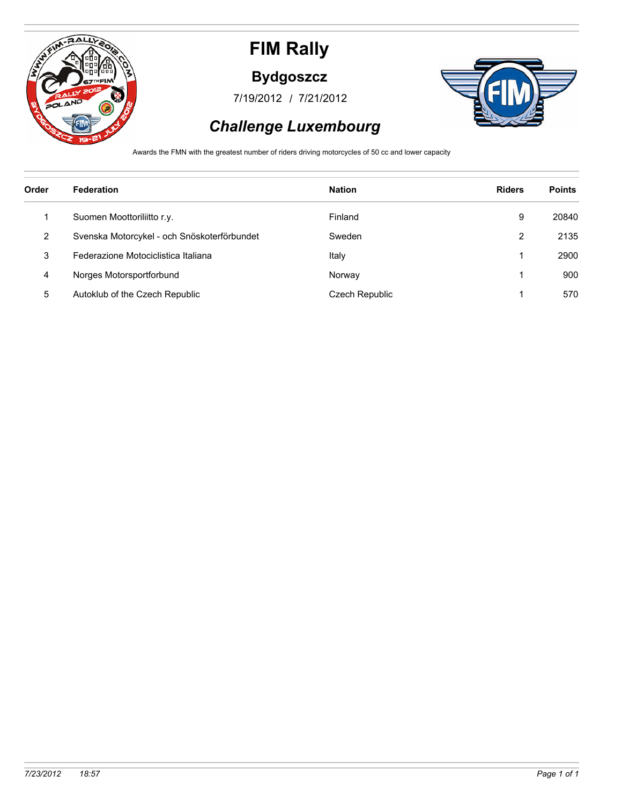

#### **Bydgoszcz**

/ 7/19/2012 7/21/2012



### *Challenge Luxembourg*

Awards the FMN with the greatest number of riders driving motorcycles of 50 cc and lower capacity

| Order          | Federation                                  | <b>Nation</b>  | <b>Riders</b> | <b>Points</b> |
|----------------|---------------------------------------------|----------------|---------------|---------------|
|                | Suomen Moottoriliitto r.y.                  | Finland        | 9             | 20840         |
| $\overline{2}$ | Svenska Motorcykel - och Snöskoterförbundet | Sweden         | 2             | 2135          |
| 3              | Federazione Motociclistica Italiana         | Italy          |               | 2900          |
| 4              | Norges Motorsportforbund                    | Norway         |               | 900           |
| 5              | Autoklub of the Czech Republic              | Czech Republic |               | 570           |
|                |                                             |                |               |               |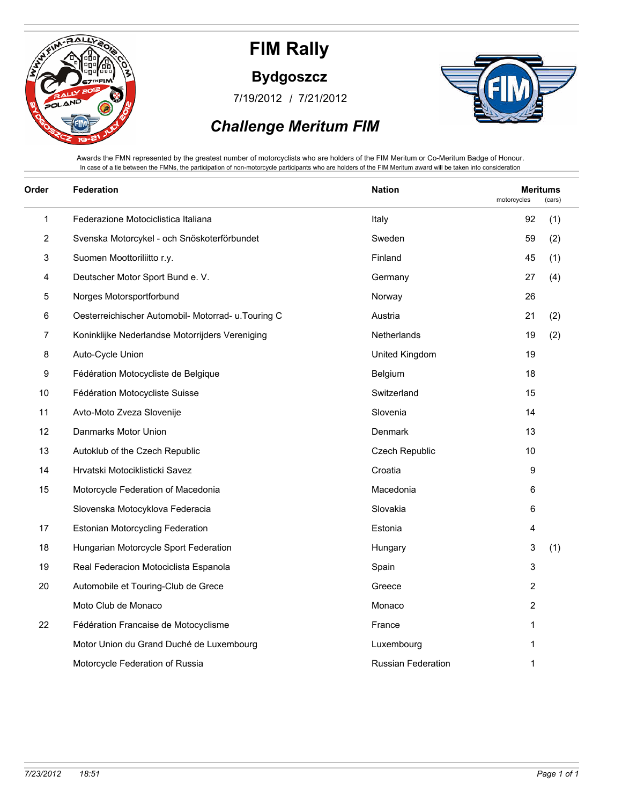

**Bydgoszcz**

/ 7/19/2012 7/21/2012



### *Challenge Meritum FIM*

Awards the FMN represented by the greatest number of motorcyclists who are holders of the FIM Meritum or Co-Meritum Badge of Honour. In case of a tie between the FMNs, the participation of non-motorcycle participants who are holders of the FIM Meritum award will be taken into consideration

| Order | <b>Federation</b>                                   | <b>Nation</b>             | <b>Meritums</b><br>motorcycles |     | (cars) |  |
|-------|-----------------------------------------------------|---------------------------|--------------------------------|-----|--------|--|
| 1     | Federazione Motociclistica Italiana                 | Italy                     | 92                             | (1) |        |  |
| 2     | Svenska Motorcykel - och Snöskoterförbundet         | Sweden                    | 59                             | (2) |        |  |
| 3     | Suomen Moottoriliitto r.y.                          | Finland                   | 45                             | (1) |        |  |
| 4     | Deutscher Motor Sport Bund e. V.                    | Germany                   | 27                             | (4) |        |  |
| 5     | Norges Motorsportforbund                            | Norway                    | 26                             |     |        |  |
| 6     | Oesterreichischer Automobil- Motorrad- u. Touring C | Austria                   | 21                             | (2) |        |  |
| 7     | Koninklijke Nederlandse Motorrijders Vereniging     | Netherlands               | 19                             | (2) |        |  |
| 8     | Auto-Cycle Union                                    | United Kingdom            | 19                             |     |        |  |
| 9     | Fédération Motocycliste de Belgique                 | Belgium                   | 18                             |     |        |  |
| 10    | Fédération Motocycliste Suisse                      | Switzerland               | 15                             |     |        |  |
| 11    | Avto-Moto Zveza Slovenije                           | Slovenia                  | 14                             |     |        |  |
| 12    | Danmarks Motor Union                                | Denmark                   | 13                             |     |        |  |
| 13    | Autoklub of the Czech Republic                      | Czech Republic            | 10                             |     |        |  |
| 14    | Hrvatski Motociklisticki Savez                      | Croatia                   | 9                              |     |        |  |
| 15    | Motorcycle Federation of Macedonia                  | Macedonia                 | 6                              |     |        |  |
|       | Slovenska Motocyklova Federacia                     | Slovakia                  | 6                              |     |        |  |
| 17    | Estonian Motorcycling Federation                    | Estonia                   | 4                              |     |        |  |
| 18    | Hungarian Motorcycle Sport Federation               | Hungary                   | 3                              | (1) |        |  |
| 19    | Real Federacion Motociclista Espanola               | Spain                     | 3                              |     |        |  |
| 20    | Automobile et Touring-Club de Grece                 | Greece                    | $\overline{2}$                 |     |        |  |
|       | Moto Club de Monaco                                 | Monaco                    | $\overline{2}$                 |     |        |  |
| 22    | Fédération Francaise de Motocyclisme                | France                    | 1                              |     |        |  |
|       | Motor Union du Grand Duché de Luxembourg            | Luxembourg                | 1                              |     |        |  |
|       | Motorcycle Federation of Russia                     | <b>Russian Federation</b> | 1                              |     |        |  |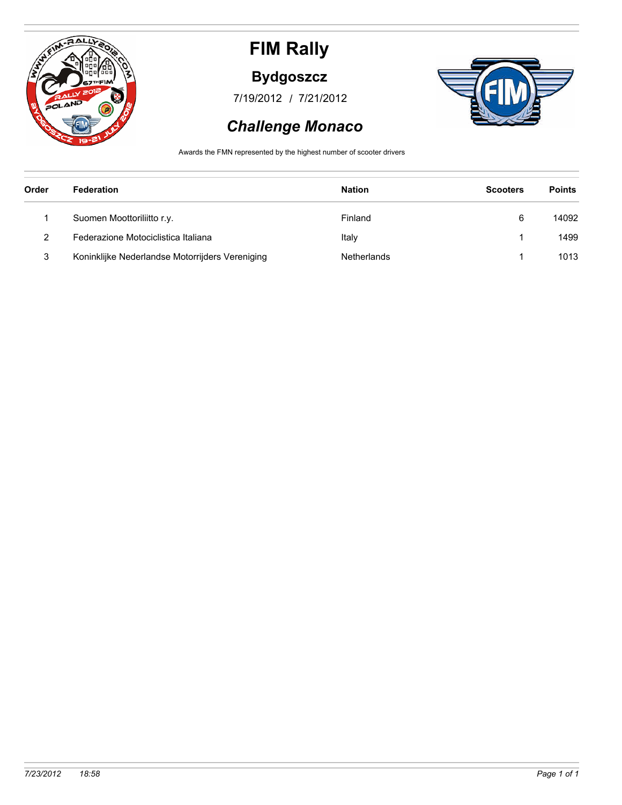

### **Bydgoszcz**

/ 7/19/2012 7/21/2012



### *Challenge Monaco*

Awards the FMN represented by the highest number of scooter drivers

| Order | <b>Federation</b>                               | <b>Nation</b> | <b>Scooters</b> | <b>Points</b> |
|-------|-------------------------------------------------|---------------|-----------------|---------------|
|       |                                                 |               |                 |               |
|       | Suomen Moottoriliitto r.y.                      | Finland       | 6               | 14092         |
| 2     | Federazione Motociclistica Italiana             | Italy         |                 | 1499          |
| 3     | Koninklijke Nederlandse Motorrijders Vereniging | Netherlands   |                 | 1013          |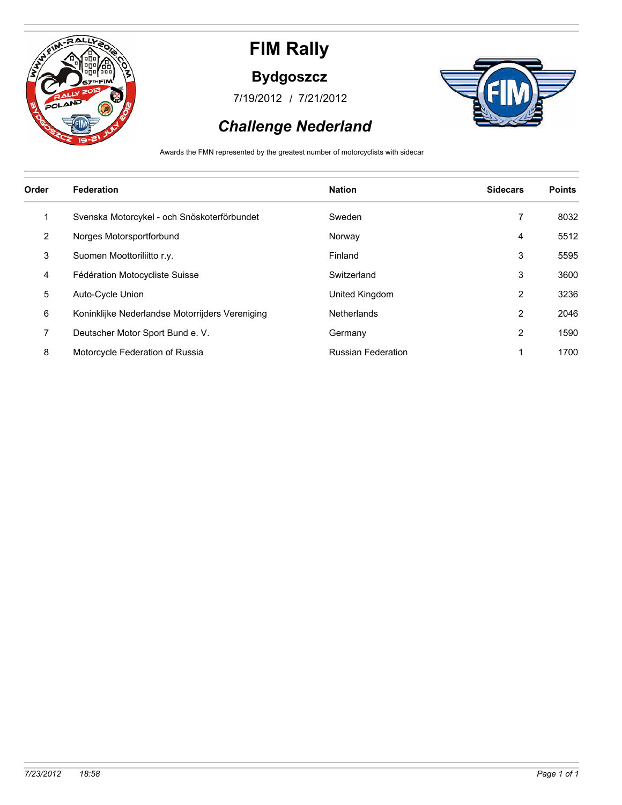

### **Bydgoszcz**

/ 7/19/2012 7/21/2012



### *Challenge Nederland*

Awards the FMN represented by the greatest number of motorcyclists with sidecar

| Order | Federation                                      | <b>Nation</b>             | <b>Sidecars</b> | <b>Points</b> |
|-------|-------------------------------------------------|---------------------------|-----------------|---------------|
|       | Svenska Motorcykel - och Snöskoterförbundet     | Sweden                    | 7               | 8032          |
| 2     | Norges Motorsportforbund                        | Norway                    | 4               | 5512          |
| 3     | Suomen Moottoriliitto r.y.                      | Finland                   | 3               | 5595          |
| 4     | Fédération Motocycliste Suisse                  | Switzerland               | 3               | 3600          |
| 5     | Auto-Cycle Union                                | United Kingdom            | 2               | 3236          |
| 6     | Koninklijke Nederlandse Motorrijders Vereniging | <b>Netherlands</b>        | 2               | 2046          |
| 7     | Deutscher Motor Sport Bund e. V.                | Germany                   | 2               | 1590          |
| 8     | Motorcycle Federation of Russia                 | <b>Russian Federation</b> |                 | 1700          |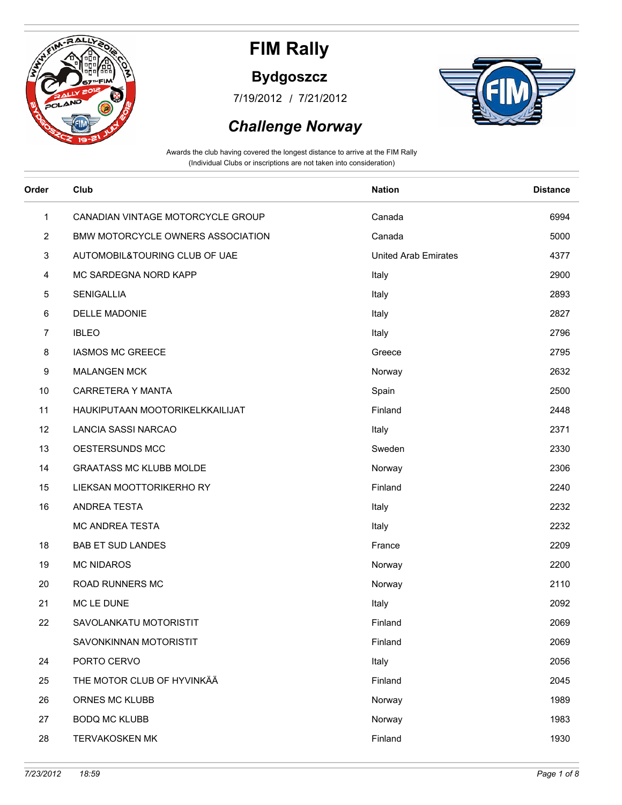

### **Bydgoszcz**

/ 7/19/2012 7/21/2012



#### *Challenge Norway*

| Order | Club                              | <b>Nation</b>               | <b>Distance</b> |
|-------|-----------------------------------|-----------------------------|-----------------|
| 1     | CANADIAN VINTAGE MOTORCYCLE GROUP | Canada                      | 6994            |
| 2     | BMW MOTORCYCLE OWNERS ASSOCIATION | Canada                      | 5000            |
| 3     | AUTOMOBIL&TOURING CLUB OF UAE     | <b>United Arab Emirates</b> | 4377            |
| 4     | MC SARDEGNA NORD KAPP             | Italy                       | 2900            |
| 5     | <b>SENIGALLIA</b>                 | Italy                       | 2893            |
| 6     | <b>DELLE MADONIE</b>              | Italy                       | 2827            |
| 7     | <b>IBLEO</b>                      | Italy                       | 2796            |
| 8     | <b>IASMOS MC GREECE</b>           | Greece                      | 2795            |
| 9     | <b>MALANGEN MCK</b>               | Norway                      | 2632            |
| 10    | CARRETERA Y MANTA                 | Spain                       | 2500            |
| 11    | HAUKIPUTAAN MOOTORIKELKKAILIJAT   | Finland                     | 2448            |
| 12    | LANCIA SASSI NARCAO               | Italy                       | 2371            |
| 13    | OESTERSUNDS MCC                   | Sweden                      | 2330            |
| 14    | <b>GRAATASS MC KLUBB MOLDE</b>    | Norway                      | 2306            |
| 15    | LIEKSAN MOOTTORIKERHO RY          | Finland                     | 2240            |
| 16    | ANDREA TESTA                      | Italy                       | 2232            |
|       | MC ANDREA TESTA                   | Italy                       | 2232            |
| 18    | <b>BAB ET SUD LANDES</b>          | France                      | 2209            |
| 19    | <b>MC NIDAROS</b>                 | Norway                      | 2200            |
| 20    | ROAD RUNNERS MC                   | Norway                      | 2110            |
| 21    | MC LE DUNE                        | Italy                       | 2092            |
| 22    | SAVOLANKATU MOTORISTIT            | Finland                     | 2069            |
|       | SAVONKINNAN MOTORISTIT            | Finland                     | 2069            |
| 24    | PORTO CERVO                       | Italy                       | 2056            |
| 25    | THE MOTOR CLUB OF HYVINKÄÄ        | Finland                     | 2045            |
| 26    | ORNES MC KLUBB                    | Norway                      | 1989            |
| 27    | <b>BODQ MC KLUBB</b>              | Norway                      | 1983            |
| 28    | <b>TERVAKOSKEN MK</b>             | Finland                     | 1930            |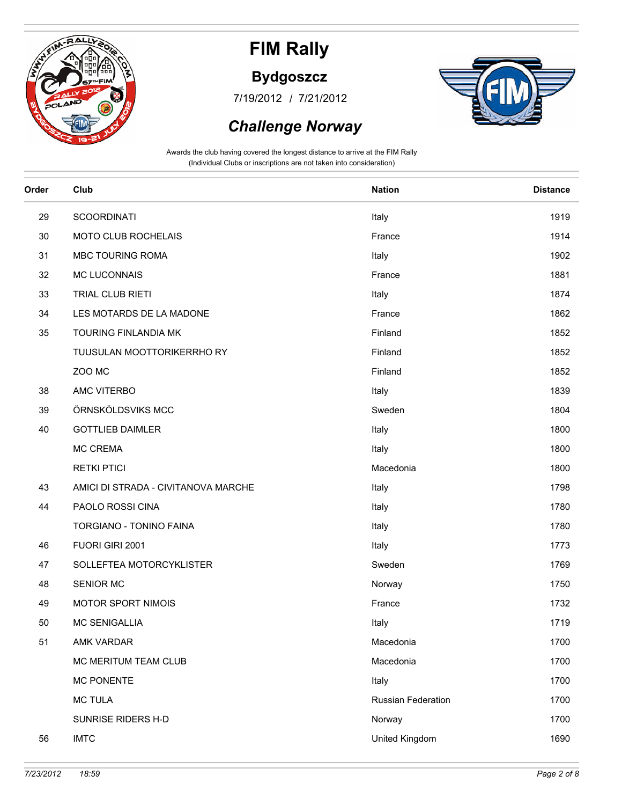

### **Bydgoszcz**

/ 7/19/2012 7/21/2012



### *Challenge Norway*

| Order | Club                                | <b>Nation</b>      | <b>Distance</b> |
|-------|-------------------------------------|--------------------|-----------------|
| 29    | <b>SCOORDINATI</b>                  | Italy              | 1919            |
| 30    | MOTO CLUB ROCHELAIS                 | France             | 1914            |
| 31    | <b>MBC TOURING ROMA</b>             | Italy              | 1902            |
| 32    | MC LUCONNAIS                        | France             | 1881            |
| 33    | TRIAL CLUB RIETI                    | Italy              | 1874            |
| 34    | LES MOTARDS DE LA MADONE            | France             | 1862            |
| 35    | TOURING FINLANDIA MK                | Finland            | 1852            |
|       | TUUSULAN MOOTTORIKERRHO RY          | Finland            | 1852            |
|       | ZOO MC                              | Finland            | 1852            |
| 38    | AMC VITERBO                         | Italy              | 1839            |
| 39    | ÖRNSKÖLDSVIKS MCC                   | Sweden             | 1804            |
| 40    | <b>GOTTLIEB DAIMLER</b>             | Italy              | 1800            |
|       | <b>MC CREMA</b>                     | Italy              | 1800            |
|       | <b>RETKI PTICI</b>                  | Macedonia          | 1800            |
| 43    | AMICI DI STRADA - CIVITANOVA MARCHE | Italy              | 1798            |
| 44    | PAOLO ROSSI CINA                    | Italy              | 1780            |
|       | TORGIANO - TONINO FAINA             | Italy              | 1780            |
| 46    | FUORI GIRI 2001                     | Italy              | 1773            |
| 47    | SOLLEFTEA MOTORCYKLISTER            | Sweden             | 1769            |
| 48    | SENIOR MC                           | Norway             | 1750            |
| 49    | <b>MOTOR SPORT NIMOIS</b>           | France             | 1732            |
| 50    | <b>MC SENIGALLIA</b>                | Italy              | 1719            |
| 51    | AMK VARDAR                          | Macedonia          | 1700            |
|       | MC MERITUM TEAM CLUB                | Macedonia          | 1700            |
|       | <b>MC PONENTE</b>                   | Italy              | 1700            |
|       | <b>MC TULA</b>                      | Russian Federation | 1700            |
|       | SUNRISE RIDERS H-D                  | Norway             | 1700            |
| 56    | <b>IMTC</b>                         | United Kingdom     | 1690            |
|       |                                     |                    |                 |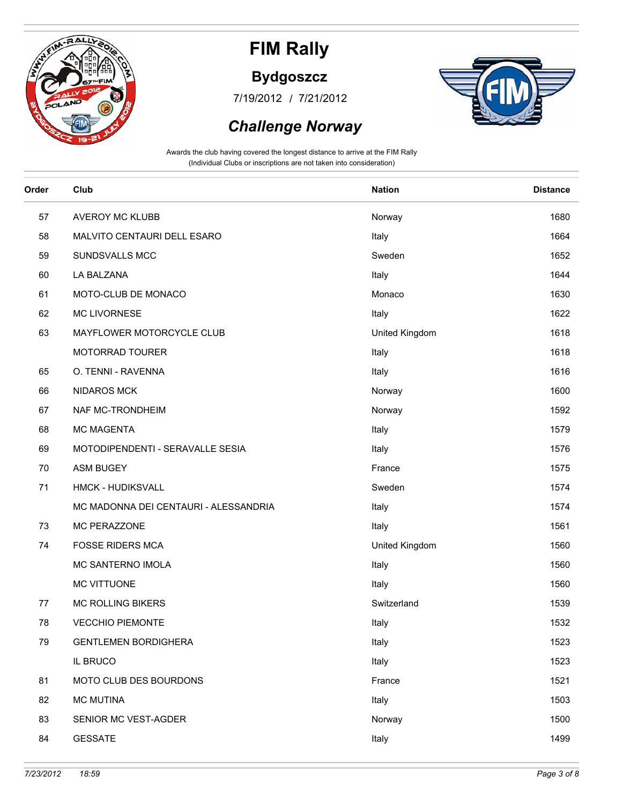

### **Bydgoszcz**

/ 7/19/2012 7/21/2012



#### *Challenge Norway*

| Order | Club                                  | <b>Nation</b>  | <b>Distance</b> |
|-------|---------------------------------------|----------------|-----------------|
| 57    | AVEROY MC KLUBB                       | Norway         | 1680            |
| 58    | MALVITO CENTAURI DELL ESARO           | Italy          | 1664            |
| 59    | SUNDSVALLS MCC                        | Sweden         | 1652            |
| 60    | LA BALZANA                            | Italy          | 1644            |
| 61    | MOTO-CLUB DE MONACO                   | Monaco         | 1630            |
| 62    | <b>MC LIVORNESE</b>                   | Italy          | 1622            |
| 63    | MAYFLOWER MOTORCYCLE CLUB             | United Kingdom | 1618            |
|       | MOTORRAD TOURER                       | Italy          | 1618            |
| 65    | O. TENNI - RAVENNA                    | Italy          | 1616            |
| 66    | <b>NIDAROS MCK</b>                    | Norway         | 1600            |
| 67    | NAF MC-TRONDHEIM                      | Norway         | 1592            |
| 68    | <b>MC MAGENTA</b>                     | Italy          | 1579            |
| 69    | MOTODIPENDENTI - SERAVALLE SESIA      | Italy          | 1576            |
| 70    | <b>ASM BUGEY</b>                      | France         | 1575            |
| 71    | HMCK - HUDIKSVALL                     | Sweden         | 1574            |
|       | MC MADONNA DEI CENTAURI - ALESSANDRIA | Italy          | 1574            |
| 73    | MC PERAZZONE                          | Italy          | 1561            |
| 74    | FOSSE RIDERS MCA                      | United Kingdom | 1560            |
|       | MC SANTERNO IMOLA                     | Italy          | 1560            |
|       | MC VITTUONE                           | Italy          | 1560            |
| 77    | <b>MC ROLLING BIKERS</b>              | Switzerland    | 1539            |
| 78    | <b>VECCHIO PIEMONTE</b>               | Italy          | 1532            |
| 79    | <b>GENTLEMEN BORDIGHERA</b>           | Italy          | 1523            |
|       | IL BRUCO                              | Italy          | 1523            |
| 81    | MOTO CLUB DES BOURDONS                | France         | 1521            |
| 82    | <b>MC MUTINA</b>                      | Italy          | 1503            |
| 83    | SENIOR MC VEST-AGDER                  | Norway         | 1500            |
| 84    | <b>GESSATE</b>                        | Italy          | 1499            |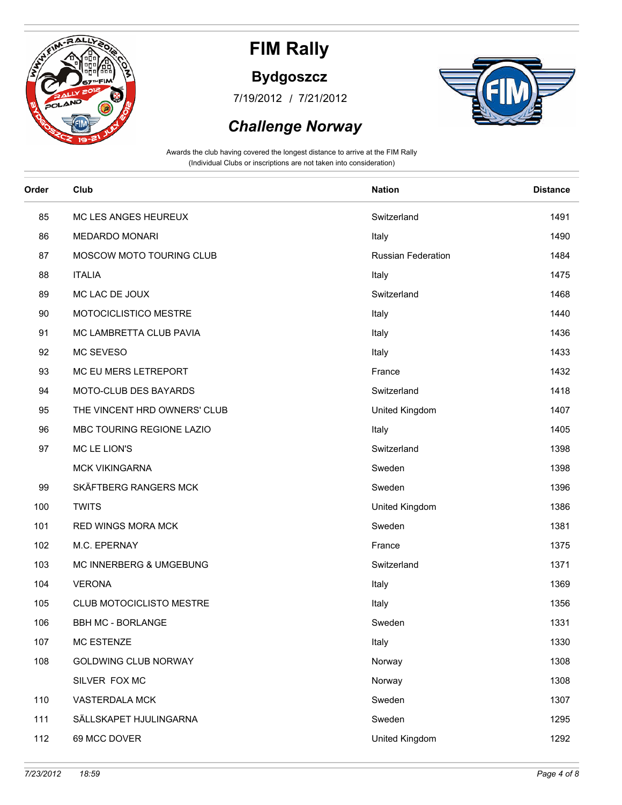

### **Bydgoszcz**

/ 7/19/2012 7/21/2012



#### *Challenge Norway*

| Order | Club                            | <b>Nation</b>      | <b>Distance</b> |
|-------|---------------------------------|--------------------|-----------------|
| 85    | MC LES ANGES HEUREUX            | Switzerland        | 1491            |
| 86    | <b>MEDARDO MONARI</b>           | Italy              | 1490            |
| 87    | MOSCOW MOTO TOURING CLUB        | Russian Federation | 1484            |
| 88    | <b>ITALIA</b>                   | Italy              | 1475            |
| 89    | MC LAC DE JOUX                  | Switzerland        | 1468            |
| 90    | MOTOCICLISTICO MESTRE           | Italy              | 1440            |
| 91    | MC LAMBRETTA CLUB PAVIA         | Italy              | 1436            |
| 92    | MC SEVESO                       | Italy              | 1433            |
| 93    | MC EU MERS LETREPORT            | France             | 1432            |
| 94    | MOTO-CLUB DES BAYARDS           | Switzerland        | 1418            |
| 95    | THE VINCENT HRD OWNERS' CLUB    | United Kingdom     | 1407            |
| 96    | MBC TOURING REGIONE LAZIO       | Italy              | 1405            |
| 97    | MC LE LION'S                    | Switzerland        | 1398            |
|       | <b>MCK VIKINGARNA</b>           | Sweden             | 1398            |
| 99    | SKÄFTBERG RANGERS MCK           | Sweden             | 1396            |
| 100   | <b>TWITS</b>                    | United Kingdom     | 1386            |
| 101   | <b>RED WINGS MORA MCK</b>       | Sweden             | 1381            |
| 102   | M.C. EPERNAY                    | France             | 1375            |
| 103   | MC INNERBERG & UMGEBUNG         | Switzerland        | 1371            |
| 104   | <b>VERONA</b>                   | Italy              | 1369            |
| 105   | <b>CLUB MOTOCICLISTO MESTRE</b> | Italy              | 1356            |
| 106   | <b>BBH MC - BORLANGE</b>        | Sweden             | 1331            |
| 107   | MC ESTENZE                      | Italy              | 1330            |
| 108   | <b>GOLDWING CLUB NORWAY</b>     | Norway             | 1308            |
|       | SILVER FOX MC                   | Norway             | 1308            |
| 110   | VASTERDALA MCK                  | Sweden             | 1307            |
| 111   | SÄLLSKAPET HJULINGARNA          | Sweden             | 1295            |
| 112   | 69 MCC DOVER                    | United Kingdom     | 1292            |
|       |                                 |                    |                 |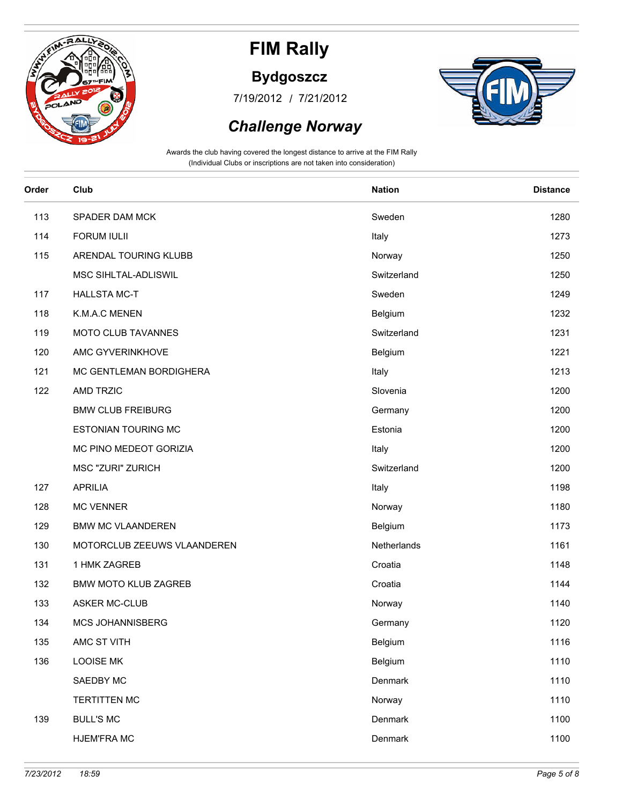

### **Bydgoszcz**

/ 7/19/2012 7/21/2012



### *Challenge Norway*

| Order | Club                        | <b>Nation</b> | <b>Distance</b> |
|-------|-----------------------------|---------------|-----------------|
| 113   | SPADER DAM MCK              | Sweden        | 1280            |
| 114   | FORUM IULII                 | Italy         | 1273            |
| 115   | ARENDAL TOURING KLUBB       | Norway        | 1250            |
|       | MSC SIHLTAL-ADLISWIL        | Switzerland   | 1250            |
| 117   | <b>HALLSTA MC-T</b>         | Sweden        | 1249            |
| 118   | K.M.A.C MENEN               | Belgium       | 1232            |
| 119   | <b>MOTO CLUB TAVANNES</b>   | Switzerland   | 1231            |
| 120   | AMC GYVERINKHOVE            | Belgium       | 1221            |
| 121   | MC GENTLEMAN BORDIGHERA     | Italy         | 1213            |
| 122   | <b>AMD TRZIC</b>            | Slovenia      | 1200            |
|       | <b>BMW CLUB FREIBURG</b>    | Germany       | 1200            |
|       | <b>ESTONIAN TOURING MC</b>  | Estonia       | 1200            |
|       | MC PINO MEDEOT GORIZIA      | Italy         | 1200            |
|       | MSC "ZURI" ZURICH           | Switzerland   | 1200            |
| 127   | <b>APRILIA</b>              | Italy         | 1198            |
| 128   | <b>MC VENNER</b>            | Norway        | 1180            |
| 129   | <b>BMW MC VLAANDEREN</b>    | Belgium       | 1173            |
| 130   | MOTORCLUB ZEEUWS VLAANDEREN | Netherlands   | 1161            |
| 131   | 1 HMK ZAGREB                | Croatia       | 1148            |
| 132   | <b>BMW MOTO KLUB ZAGREB</b> | Croatia       | 1144            |
| 133   | <b>ASKER MC-CLUB</b>        | Norway        | 1140            |
| 134   | <b>MCS JOHANNISBERG</b>     | Germany       | 1120            |
| 135   | AMC ST VITH                 | Belgium       | 1116            |
| 136   | <b>LOOISE MK</b>            | Belgium       | 1110            |
|       | SAEDBY MC                   | Denmark       | 1110            |
|       | <b>TERTITTEN MC</b>         | Norway        | 1110            |
| 139   | <b>BULL'S MC</b>            | Denmark       | 1100            |
|       | HJEM'FRA MC                 | Denmark       | 1100            |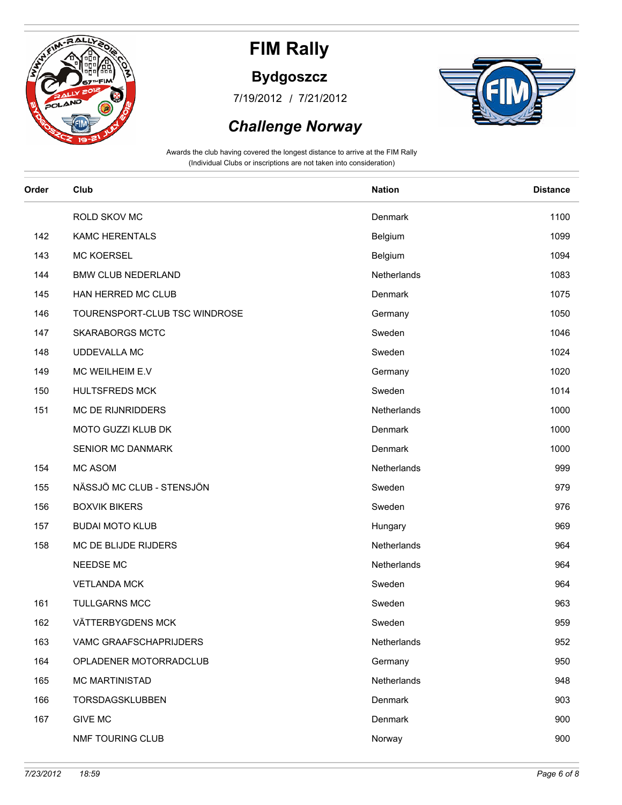

### **Bydgoszcz**

/ 7/19/2012 7/21/2012



### *Challenge Norway*

| Order | Club                          | <b>Nation</b> | <b>Distance</b> |
|-------|-------------------------------|---------------|-----------------|
|       | ROLD SKOV MC                  | Denmark       | 1100            |
| 142   | <b>KAMC HERENTALS</b>         | Belgium       | 1099            |
| 143   | <b>MC KOERSEL</b>             | Belgium       | 1094            |
| 144   | <b>BMW CLUB NEDERLAND</b>     | Netherlands   | 1083            |
| 145   | HAN HERRED MC CLUB            | Denmark       | 1075            |
| 146   | TOURENSPORT-CLUB TSC WINDROSE | Germany       | 1050            |
| 147   | <b>SKARABORGS MCTC</b>        | Sweden        | 1046            |
| 148   | <b>UDDEVALLA MC</b>           | Sweden        | 1024            |
| 149   | MC WEILHEIM E.V               | Germany       | 1020            |
| 150   | <b>HULTSFREDS MCK</b>         | Sweden        | 1014            |
| 151   | <b>MC DE RIJNRIDDERS</b>      | Netherlands   | 1000            |
|       | MOTO GUZZI KLUB DK            | Denmark       | 1000            |
|       | <b>SENIOR MC DANMARK</b>      | Denmark       | 1000            |
| 154   | <b>MC ASOM</b>                | Netherlands   | 999             |
| 155   | NÄSSJÖ MC CLUB - STENSJÖN     | Sweden        | 979             |
| 156   | <b>BOXVIK BIKERS</b>          | Sweden        | 976             |
| 157   | <b>BUDAI MOTO KLUB</b>        | Hungary       | 969             |
| 158   | MC DE BLIJDE RIJDERS          | Netherlands   | 964             |
|       | NEEDSE MC                     | Netherlands   | 964             |
|       | <b>VETLANDA MCK</b>           | Sweden        | 964             |
| 161   | <b>TULLGARNS MCC</b>          | Sweden        | 963             |
| 162   | VÄTTERBYGDENS MCK             | Sweden        | 959             |
| 163   | VAMC GRAAFSCHAPRIJDERS        | Netherlands   | 952             |
| 164   | OPLADENER MOTORRADCLUB        | Germany       | 950             |
| 165   | <b>MC MARTINISTAD</b>         | Netherlands   | 948             |
| 166   | TORSDAGSKLUBBEN               | Denmark       | 903             |
| 167   | <b>GIVE MC</b>                | Denmark       | 900             |
|       | NMF TOURING CLUB              | Norway        | 900             |
|       |                               |               |                 |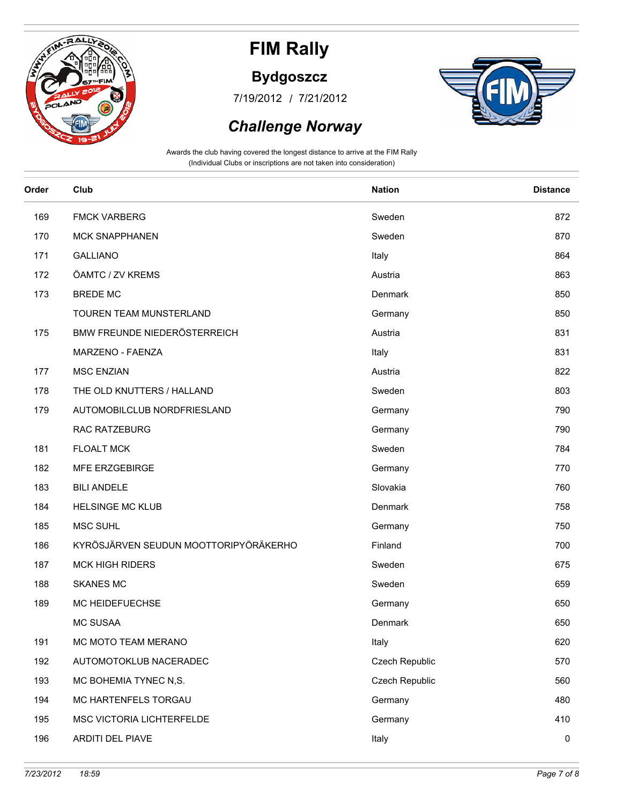

### **Bydgoszcz**

/ 7/19/2012 7/21/2012



#### *Challenge Norway*

| 169<br><b>FMCK VARBERG</b><br>Sweden<br>170<br><b>MCK SNAPPHANEN</b><br>Sweden<br>171<br><b>GALLIANO</b><br>Italy<br>ÖAMTC / ZV KREMS<br>172<br>Austria<br>173<br><b>BREDE MC</b><br>Denmark<br>TOUREN TEAM MUNSTERLAND<br>Germany<br>BMW FREUNDE NIEDERÖSTERREICH<br>175<br>Austria<br>MARZENO - FAENZA<br>Italy<br>177<br><b>MSC ENZIAN</b><br>Austria<br>THE OLD KNUTTERS / HALLAND<br>Sweden<br>178<br>179<br>AUTOMOBILCLUB NORDFRIESLAND<br>Germany<br><b>RAC RATZEBURG</b><br>Germany<br>181<br><b>FLOALT MCK</b><br>Sweden<br>182<br>MFE ERZGEBIRGE<br>Germany<br><b>BILI ANDELE</b><br>Slovakia<br>183<br><b>HELSINGE MC KLUB</b><br>184<br>Denmark<br><b>MSC SUHL</b><br>185<br>Germany<br>KYRÖSJÄRVEN SEUDUN MOOTTORIPYÖRÄKERHO<br>186<br>Finland<br>187<br><b>MCK HIGH RIDERS</b><br>Sweden<br>188<br><b>SKANES MC</b><br>Sweden<br>MC HEIDEFUECHSE<br>189<br>Germany<br><b>MC SUSAA</b><br>Denmark<br>191<br>MC MOTO TEAM MERANO<br>Italy<br>AUTOMOTOKLUB NACERADEC<br>192<br>Czech Republic<br>193<br>MC BOHEMIA TYNEC N,S.<br>Czech Republic<br>MC HARTENFELS TORGAU<br>194<br>Germany<br>195<br>MSC VICTORIA LICHTERFELDE<br>Germany<br>ARDITI DEL PIAVE<br>196<br>Italy | Order | Club | <b>Nation</b> | <b>Distance</b> |
|-----------------------------------------------------------------------------------------------------------------------------------------------------------------------------------------------------------------------------------------------------------------------------------------------------------------------------------------------------------------------------------------------------------------------------------------------------------------------------------------------------------------------------------------------------------------------------------------------------------------------------------------------------------------------------------------------------------------------------------------------------------------------------------------------------------------------------------------------------------------------------------------------------------------------------------------------------------------------------------------------------------------------------------------------------------------------------------------------------------------------------------------------------------------------------------------|-------|------|---------------|-----------------|
|                                                                                                                                                                                                                                                                                                                                                                                                                                                                                                                                                                                                                                                                                                                                                                                                                                                                                                                                                                                                                                                                                                                                                                                         |       |      |               | 872             |
|                                                                                                                                                                                                                                                                                                                                                                                                                                                                                                                                                                                                                                                                                                                                                                                                                                                                                                                                                                                                                                                                                                                                                                                         |       |      |               | 870             |
|                                                                                                                                                                                                                                                                                                                                                                                                                                                                                                                                                                                                                                                                                                                                                                                                                                                                                                                                                                                                                                                                                                                                                                                         |       |      |               | 864             |
|                                                                                                                                                                                                                                                                                                                                                                                                                                                                                                                                                                                                                                                                                                                                                                                                                                                                                                                                                                                                                                                                                                                                                                                         |       |      |               | 863             |
|                                                                                                                                                                                                                                                                                                                                                                                                                                                                                                                                                                                                                                                                                                                                                                                                                                                                                                                                                                                                                                                                                                                                                                                         |       |      |               | 850             |
|                                                                                                                                                                                                                                                                                                                                                                                                                                                                                                                                                                                                                                                                                                                                                                                                                                                                                                                                                                                                                                                                                                                                                                                         |       |      |               | 850             |
|                                                                                                                                                                                                                                                                                                                                                                                                                                                                                                                                                                                                                                                                                                                                                                                                                                                                                                                                                                                                                                                                                                                                                                                         |       |      |               | 831             |
|                                                                                                                                                                                                                                                                                                                                                                                                                                                                                                                                                                                                                                                                                                                                                                                                                                                                                                                                                                                                                                                                                                                                                                                         |       |      |               | 831             |
|                                                                                                                                                                                                                                                                                                                                                                                                                                                                                                                                                                                                                                                                                                                                                                                                                                                                                                                                                                                                                                                                                                                                                                                         |       |      |               | 822             |
|                                                                                                                                                                                                                                                                                                                                                                                                                                                                                                                                                                                                                                                                                                                                                                                                                                                                                                                                                                                                                                                                                                                                                                                         |       |      |               | 803             |
|                                                                                                                                                                                                                                                                                                                                                                                                                                                                                                                                                                                                                                                                                                                                                                                                                                                                                                                                                                                                                                                                                                                                                                                         |       |      |               | 790             |
|                                                                                                                                                                                                                                                                                                                                                                                                                                                                                                                                                                                                                                                                                                                                                                                                                                                                                                                                                                                                                                                                                                                                                                                         |       |      |               | 790             |
|                                                                                                                                                                                                                                                                                                                                                                                                                                                                                                                                                                                                                                                                                                                                                                                                                                                                                                                                                                                                                                                                                                                                                                                         |       |      |               | 784             |
|                                                                                                                                                                                                                                                                                                                                                                                                                                                                                                                                                                                                                                                                                                                                                                                                                                                                                                                                                                                                                                                                                                                                                                                         |       |      |               | 770             |
|                                                                                                                                                                                                                                                                                                                                                                                                                                                                                                                                                                                                                                                                                                                                                                                                                                                                                                                                                                                                                                                                                                                                                                                         |       |      |               | 760             |
|                                                                                                                                                                                                                                                                                                                                                                                                                                                                                                                                                                                                                                                                                                                                                                                                                                                                                                                                                                                                                                                                                                                                                                                         |       |      |               | 758             |
|                                                                                                                                                                                                                                                                                                                                                                                                                                                                                                                                                                                                                                                                                                                                                                                                                                                                                                                                                                                                                                                                                                                                                                                         |       |      |               | 750             |
|                                                                                                                                                                                                                                                                                                                                                                                                                                                                                                                                                                                                                                                                                                                                                                                                                                                                                                                                                                                                                                                                                                                                                                                         |       |      |               | 700             |
|                                                                                                                                                                                                                                                                                                                                                                                                                                                                                                                                                                                                                                                                                                                                                                                                                                                                                                                                                                                                                                                                                                                                                                                         |       |      |               | 675             |
|                                                                                                                                                                                                                                                                                                                                                                                                                                                                                                                                                                                                                                                                                                                                                                                                                                                                                                                                                                                                                                                                                                                                                                                         |       |      |               | 659             |
|                                                                                                                                                                                                                                                                                                                                                                                                                                                                                                                                                                                                                                                                                                                                                                                                                                                                                                                                                                                                                                                                                                                                                                                         |       |      |               | 650             |
|                                                                                                                                                                                                                                                                                                                                                                                                                                                                                                                                                                                                                                                                                                                                                                                                                                                                                                                                                                                                                                                                                                                                                                                         |       |      |               | 650             |
|                                                                                                                                                                                                                                                                                                                                                                                                                                                                                                                                                                                                                                                                                                                                                                                                                                                                                                                                                                                                                                                                                                                                                                                         |       |      |               | 620             |
|                                                                                                                                                                                                                                                                                                                                                                                                                                                                                                                                                                                                                                                                                                                                                                                                                                                                                                                                                                                                                                                                                                                                                                                         |       |      |               | 570             |
|                                                                                                                                                                                                                                                                                                                                                                                                                                                                                                                                                                                                                                                                                                                                                                                                                                                                                                                                                                                                                                                                                                                                                                                         |       |      |               | 560             |
|                                                                                                                                                                                                                                                                                                                                                                                                                                                                                                                                                                                                                                                                                                                                                                                                                                                                                                                                                                                                                                                                                                                                                                                         |       |      |               | 480             |
|                                                                                                                                                                                                                                                                                                                                                                                                                                                                                                                                                                                                                                                                                                                                                                                                                                                                                                                                                                                                                                                                                                                                                                                         |       |      |               | 410             |
|                                                                                                                                                                                                                                                                                                                                                                                                                                                                                                                                                                                                                                                                                                                                                                                                                                                                                                                                                                                                                                                                                                                                                                                         |       |      |               | 0               |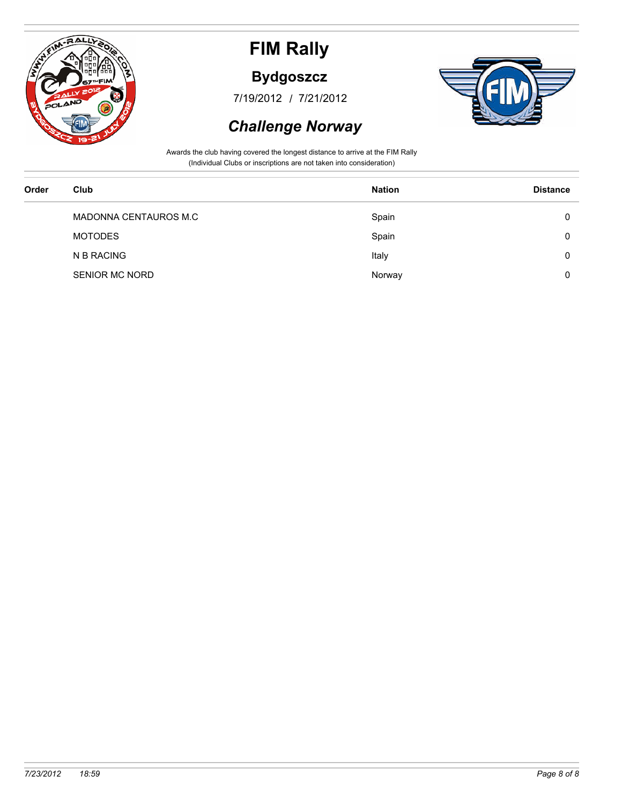

### **Bydgoszcz**

/ 7/19/2012 7/21/2012



#### *Challenge Norway*

| Order | Club                  | <b>Nation</b> | <b>Distance</b> |
|-------|-----------------------|---------------|-----------------|
|       | MADONNA CENTAUROS M.C | Spain         | 0               |
|       | <b>MOTODES</b>        | Spain         | 0               |
|       | N B RACING            | Italy         | 0               |
|       | SENIOR MC NORD        | Norway        | 0               |
|       |                       |               |                 |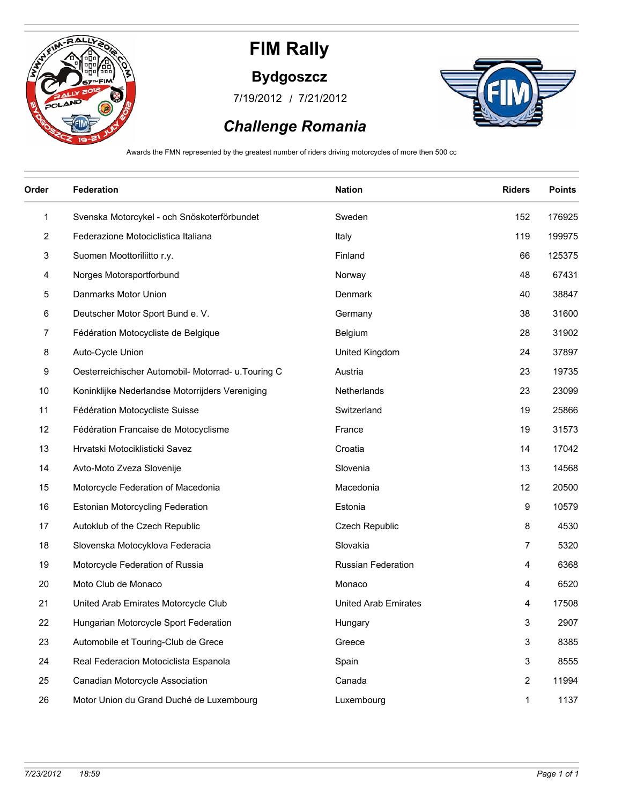

#### **Bydgoszcz**

/ 7/19/2012 7/21/2012



### *Challenge Romania*

Awards the FMN represented by the greatest number of riders driving motorcycles of more then 500 cc

| Order        | <b>Federation</b>                                   | <b>Nation</b>               | <b>Riders</b>    | <b>Points</b> |
|--------------|-----------------------------------------------------|-----------------------------|------------------|---------------|
| $\mathbf{1}$ | Svenska Motorcykel - och Snöskoterförbundet         | Sweden                      | 152              | 176925        |
| 2            | Federazione Motociclistica Italiana                 | Italy                       | 119              | 199975        |
| 3            | Suomen Moottoriliitto r.y.                          | Finland                     | 66               | 125375        |
| 4            | Norges Motorsportforbund                            | Norway                      | 48               | 67431         |
| 5            | Danmarks Motor Union                                | Denmark                     | 40               | 38847         |
| 6            | Deutscher Motor Sport Bund e. V.                    | Germany                     | 38               | 31600         |
| 7            | Fédération Motocycliste de Belgique                 | Belgium                     | 28               | 31902         |
| 8            | Auto-Cycle Union                                    | United Kingdom              | 24               | 37897         |
| 9            | Oesterreichischer Automobil- Motorrad- u. Touring C | Austria                     | 23               | 19735         |
| 10           | Koninklijke Nederlandse Motorrijders Vereniging     | Netherlands                 | 23               | 23099         |
| 11           | Fédération Motocycliste Suisse                      | Switzerland                 | 19               | 25866         |
| 12           | Fédération Francaise de Motocyclisme                | France                      | 19               | 31573         |
| 13           | Hrvatski Motociklisticki Savez                      | Croatia                     | 14               | 17042         |
| 14           | Avto-Moto Zveza Slovenije                           | Slovenia                    | 13               | 14568         |
| 15           | Motorcycle Federation of Macedonia                  | Macedonia                   | 12               | 20500         |
| 16           | <b>Estonian Motorcycling Federation</b>             | Estonia                     | $\boldsymbol{9}$ | 10579         |
| 17           | Autoklub of the Czech Republic                      | <b>Czech Republic</b>       | 8                | 4530          |
| 18           | Slovenska Motocyklova Federacia                     | Slovakia                    | 7                | 5320          |
| 19           | Motorcycle Federation of Russia                     | Russian Federation          | 4                | 6368          |
| 20           | Moto Club de Monaco                                 | Monaco                      | 4                | 6520          |
| 21           | United Arab Emirates Motorcycle Club                | <b>United Arab Emirates</b> | 4                | 17508         |
| 22           | Hungarian Motorcycle Sport Federation               | Hungary                     | 3                | 2907          |
| 23           | Automobile et Touring-Club de Grece                 | Greece                      | 3                | 8385          |
| 24           | Real Federacion Motociclista Espanola               | Spain                       | 3                | 8555          |
| 25           | Canadian Motorcycle Association                     | Canada                      | $\overline{2}$   | 11994         |
| 26           | Motor Union du Grand Duché de Luxembourg            | Luxembourg                  | 1                | 1137          |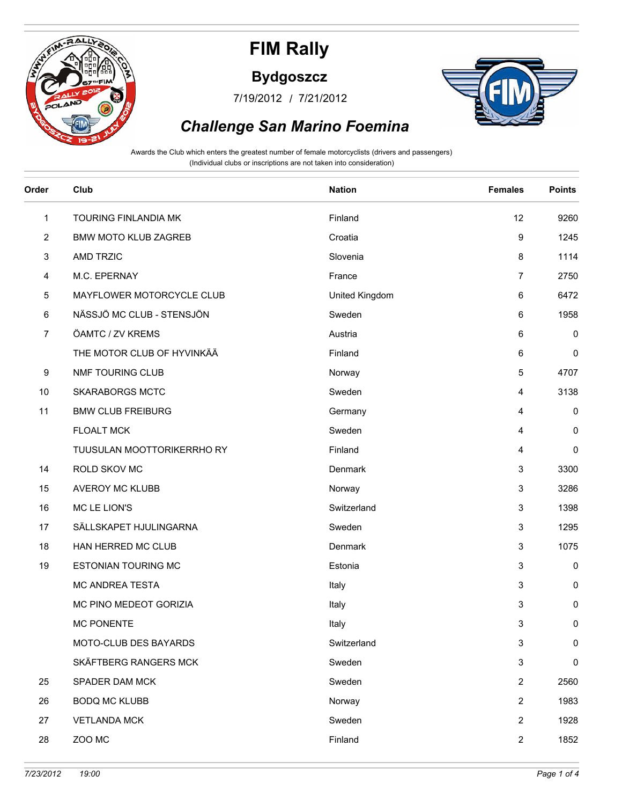

#### **Bydgoszcz**

/ 7/19/2012 7/21/2012



### *Challenge San Marino Foemina*

| Order        | Club                        | <b>Nation</b>  | <b>Females</b>            | <b>Points</b> |
|--------------|-----------------------------|----------------|---------------------------|---------------|
| $\mathbf{1}$ | TOURING FINLANDIA MK        | Finland        | 12                        | 9260          |
| 2            | <b>BMW MOTO KLUB ZAGREB</b> | Croatia        | 9                         | 1245          |
| 3            | <b>AMD TRZIC</b>            | Slovenia       | 8                         | 1114          |
| 4            | M.C. EPERNAY                | France         | 7                         | 2750          |
| 5            | MAYFLOWER MOTORCYCLE CLUB   | United Kingdom | 6                         | 6472          |
| 6            | NÄSSJÖ MC CLUB - STENSJÖN   | Sweden         | 6                         | 1958          |
| 7            | ÖAMTC / ZV KREMS            | Austria        | 6                         | 0             |
|              | THE MOTOR CLUB OF HYVINKÄÄ  | Finland        | 6                         | 0             |
| 9            | NMF TOURING CLUB            | Norway         | 5                         | 4707          |
| 10           | <b>SKARABORGS MCTC</b>      | Sweden         | 4                         | 3138          |
| 11           | <b>BMW CLUB FREIBURG</b>    | Germany        | 4                         | 0             |
|              | <b>FLOALT MCK</b>           | Sweden         | 4                         | 0             |
|              | TUUSULAN MOOTTORIKERRHO RY  | Finland        | 4                         | 0             |
| 14           | ROLD SKOV MC                | Denmark        | 3                         | 3300          |
| 15           | <b>AVEROY MC KLUBB</b>      | Norway         | 3                         | 3286          |
| 16           | MC LE LION'S                | Switzerland    | 3                         | 1398          |
| 17           | SÄLLSKAPET HJULINGARNA      | Sweden         | 3                         | 1295          |
| 18           | HAN HERRED MC CLUB          | Denmark        | 3                         | 1075          |
| 19           | <b>ESTONIAN TOURING MC</b>  | Estonia        | $\ensuremath{\mathsf{3}}$ | 0             |
|              | MC ANDREA TESTA             | Italy          | 3                         | 0             |
|              | MC PINO MEDEOT GORIZIA      | Italy          | 3                         | 0             |
|              | <b>MC PONENTE</b>           | Italy          | 3                         | 0             |
|              | MOTO-CLUB DES BAYARDS       | Switzerland    | $\mathsf 3$               | 0             |
|              | SKÄFTBERG RANGERS MCK       | Sweden         | $\ensuremath{\mathsf{3}}$ | 0             |
| 25           | SPADER DAM MCK              | Sweden         | $\overline{2}$            | 2560          |
| 26           | <b>BODQ MC KLUBB</b>        | Norway         | $\overline{2}$            | 1983          |
| 27           | <b>VETLANDA MCK</b>         | Sweden         | $\overline{2}$            | 1928          |
| 28           | ZOO MC                      | Finland        | $\overline{2}$            | 1852          |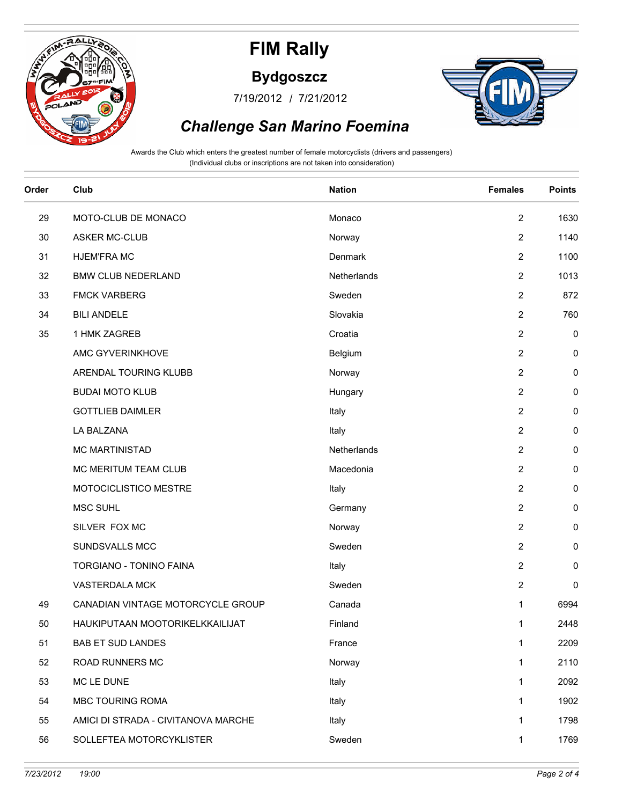

#### **Bydgoszcz**

/ 7/19/2012 7/21/2012



### *Challenge San Marino Foemina*

| Order | Club                                | <b>Nation</b> | <b>Females</b>   | <b>Points</b> |
|-------|-------------------------------------|---------------|------------------|---------------|
| 29    | MOTO-CLUB DE MONACO                 | Monaco        | $\overline{2}$   | 1630          |
| 30    | <b>ASKER MC-CLUB</b>                | Norway        | $\overline{2}$   | 1140          |
| 31    | <b>HJEM'FRA MC</b>                  | Denmark       | 2                | 1100          |
| 32    | <b>BMW CLUB NEDERLAND</b>           | Netherlands   | 2                | 1013          |
| 33    | <b>FMCK VARBERG</b>                 | Sweden        | $\overline{2}$   | 872           |
| 34    | <b>BILI ANDELE</b>                  | Slovakia      | 2                | 760           |
| 35    | 1 HMK ZAGREB                        | Croatia       | $\mathbf{2}$     | 0             |
|       | AMC GYVERINKHOVE                    | Belgium       | $\mathbf{2}$     | 0             |
|       | ARENDAL TOURING KLUBB               | Norway        | $\overline{2}$   | 0             |
|       | <b>BUDAI MOTO KLUB</b>              | Hungary       | $\overline{2}$   | 0             |
|       | <b>GOTTLIEB DAIMLER</b>             | Italy         | $\boldsymbol{2}$ | 0             |
|       | LA BALZANA                          | Italy         | $\overline{2}$   | 0             |
|       | MC MARTINISTAD                      | Netherlands   | $\overline{2}$   | 0             |
|       | MC MERITUM TEAM CLUB                | Macedonia     | $\overline{2}$   | 0             |
|       | MOTOCICLISTICO MESTRE               | Italy         | 2                | 0             |
|       | MSC SUHL                            | Germany       | $\overline{2}$   | 0             |
|       | SILVER FOX MC                       | Norway        | $\overline{2}$   | 0             |
|       | SUNDSVALLS MCC                      | Sweden        | $\overline{2}$   | 0             |
|       | TORGIANO - TONINO FAINA             | Italy         | $\overline{2}$   | 0             |
|       | VASTERDALA MCK                      | Sweden        | $\overline{2}$   | 0             |
| 49    | CANADIAN VINTAGE MOTORCYCLE GROUP   | Canada        | 1                | 6994          |
| 50    | HAUKIPUTAAN MOOTORIKELKKAILIJAT     | Finland       | 1                | 2448          |
| 51    | <b>BAB ET SUD LANDES</b>            | France        | $\mathbf{1}$     | 2209          |
| 52    | ROAD RUNNERS MC                     | Norway        | $\mathbf{1}$     | 2110          |
| 53    | MC LE DUNE                          | Italy         | $\mathbf{1}$     | 2092          |
| 54    | MBC TOURING ROMA                    | Italy         | $\mathbf{1}$     | 1902          |
| 55    | AMICI DI STRADA - CIVITANOVA MARCHE | Italy         | $\mathbf 1$      | 1798          |
| 56    | SOLLEFTEA MOTORCYKLISTER            | Sweden        | $\mathbf{1}$     | 1769          |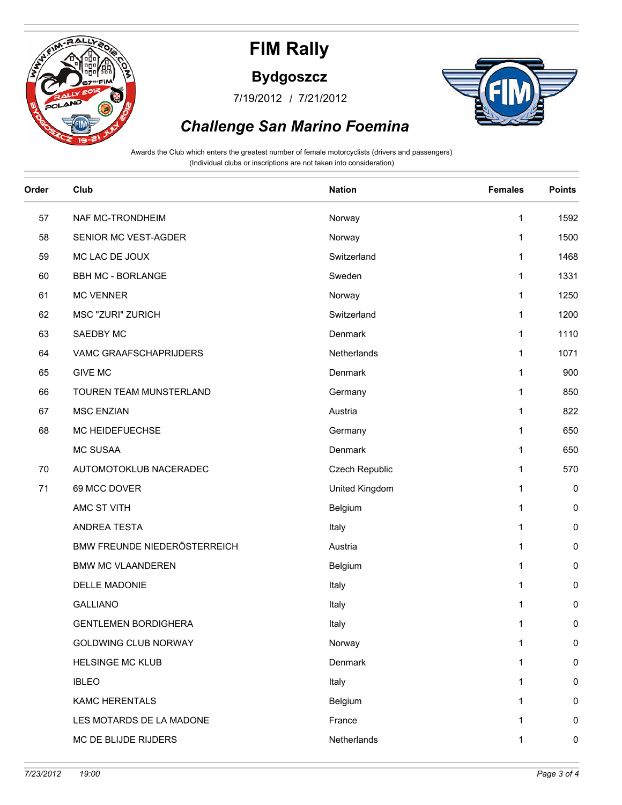

#### **Bydgoszcz**

/ 7/19/2012 7/21/2012



### *Challenge San Marino Foemina*

| Order | Club                         | <b>Nation</b>  | <b>Females</b> | <b>Points</b> |
|-------|------------------------------|----------------|----------------|---------------|
| 57    | NAF MC-TRONDHEIM             | Norway         | 1              | 1592          |
| 58    | SENIOR MC VEST-AGDER         | Norway         | 1              | 1500          |
| 59    | MC LAC DE JOUX               | Switzerland    | 1              | 1468          |
| 60    | <b>BBH MC - BORLANGE</b>     | Sweden         | 1              | 1331          |
| 61    | <b>MC VENNER</b>             | Norway         | 1              | 1250          |
| 62    | <b>MSC "ZURI" ZURICH</b>     | Switzerland    | 1              | 1200          |
| 63    | SAEDBY MC                    | Denmark        | 1              | 1110          |
| 64    | VAMC GRAAFSCHAPRIJDERS       | Netherlands    | 1              | 1071          |
| 65    | <b>GIVE MC</b>               | Denmark        | 1              | 900           |
| 66    | TOUREN TEAM MUNSTERLAND      | Germany        | 1              | 850           |
| 67    | <b>MSC ENZIAN</b>            | Austria        | 1              | 822           |
| 68    | MC HEIDEFUECHSE              | Germany        | $\mathbf{1}$   | 650           |
|       | <b>MC SUSAA</b>              | Denmark        | 1              | 650           |
| 70    | AUTOMOTOKLUB NACERADEC       | Czech Republic | 1              | 570           |
| 71    | 69 MCC DOVER                 | United Kingdom | $\mathbf{1}$   | 0             |
|       | AMC ST VITH                  | Belgium        | 1              | 0             |
|       | ANDREA TESTA                 | Italy          | 1              | 0             |
|       | BMW FREUNDE NIEDERÖSTERREICH | Austria        | 1              | 0             |
|       | <b>BMW MC VLAANDEREN</b>     | Belgium        | 1              | 0             |
|       | DELLE MADONIE                | Italy          | 1              | 0             |
|       | <b>GALLIANO</b>              | Italy          | 1              | 0             |
|       | <b>GENTLEMEN BORDIGHERA</b>  | Italy          | 1              | 0             |
|       | <b>GOLDWING CLUB NORWAY</b>  | Norway         | 1              | $\pmb{0}$     |
|       | <b>HELSINGE MC KLUB</b>      | Denmark        | 1              | 0             |
|       | <b>IBLEO</b>                 | Italy          | 1              | $\pmb{0}$     |
|       | <b>KAMC HERENTALS</b>        | Belgium        | 1              | 0             |
|       | LES MOTARDS DE LA MADONE     | France         | 1              | 0             |
|       | MC DE BLIJDE RIJDERS         | Netherlands    | 1              | $\pmb{0}$     |